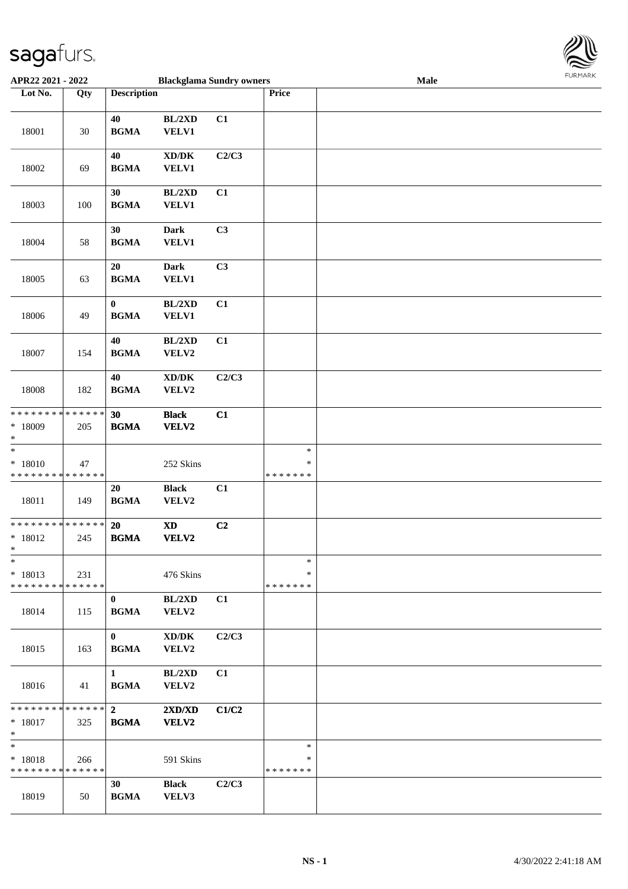

| APR22 2021 - 2022                                  |     | <b>Blackglama Sundry owners</b>                  |                                                             |       | <b>FUNITANN</b><br>Male           |  |  |  |  |
|----------------------------------------------------|-----|--------------------------------------------------|-------------------------------------------------------------|-------|-----------------------------------|--|--|--|--|
| Lot No.                                            | Qty | <b>Description</b>                               |                                                             |       | Price                             |  |  |  |  |
| 18001                                              | 30  | 40<br>$\mathbf{B}\mathbf{G}\mathbf{M}\mathbf{A}$ | BL/2XD<br>VELV1                                             | C1    |                                   |  |  |  |  |
| 18002                                              | 69  | 40<br><b>BGMA</b>                                | $\mathbf{X}\mathbf{D}/\mathbf{D}\mathbf{K}$<br><b>VELV1</b> | C2/C3 |                                   |  |  |  |  |
| 18003                                              | 100 | 30<br><b>BGMA</b>                                | BL/2XD<br>VELV1                                             | C1    |                                   |  |  |  |  |
| 18004                                              | 58  | 30<br>$\mathbf{B}\mathbf{G}\mathbf{M}\mathbf{A}$ | <b>Dark</b><br><b>VELV1</b>                                 | C3    |                                   |  |  |  |  |
| 18005                                              | 63  | 20<br>$\mathbf{B}\mathbf{G}\mathbf{M}\mathbf{A}$ | Dark<br><b>VELV1</b>                                        | C3    |                                   |  |  |  |  |
| 18006                                              | 49  | $\bf{0}$<br><b>BGMA</b>                          | BL/2XD<br>VELV1                                             | C1    |                                   |  |  |  |  |
| 18007                                              | 154 | 40<br>$\mathbf{B}\mathbf{G}\mathbf{M}\mathbf{A}$ | BL/2XD<br>VELV2                                             | C1    |                                   |  |  |  |  |
| 18008                                              | 182 | 40<br><b>BGMA</b>                                | $\mathbf{X}\mathbf{D}/\mathbf{D}\mathbf{K}$<br>VELV2        | C2/C3 |                                   |  |  |  |  |
| ******** <mark>******</mark><br>$*18009$<br>$\ast$ | 205 | 30<br><b>BGMA</b>                                | <b>Black</b><br>VELV2                                       | C1    |                                   |  |  |  |  |
| $\ast$<br>$* 18010$<br>* * * * * * * * * * * * * * | 47  |                                                  | 252 Skins                                                   |       | $\ast$<br>$\ast$<br>* * * * * * * |  |  |  |  |
| 18011                                              | 149 | 20<br>$\mathbf{B}\mathbf{G}\mathbf{M}\mathbf{A}$ | <b>Black</b><br>VELV2                                       | C1    |                                   |  |  |  |  |
| * * * * * * * * * * * * * *<br>$* 18012$<br>$*$    | 245 | 20<br>$\mathbf{B}\mathbf{G}\mathbf{M}\mathbf{A}$ | $\boldsymbol{\textbf{X}\textbf{D}}$<br>VELV2                | C2    |                                   |  |  |  |  |
| $\ast$<br>$* 18013$<br>* * * * * * * * * * * * * * | 231 |                                                  | 476 Skins                                                   |       | $\ast$<br>$\ast$<br>* * * * * * * |  |  |  |  |
| 18014                                              | 115 | $\bf{0}$<br><b>BGMA</b>                          | BL/2XD<br>VELV2                                             | C1    |                                   |  |  |  |  |
| 18015                                              | 163 | $\mathbf{0}$<br><b>BGMA</b>                      | $\bold{X}\bold{D}/\bold{D}\bold{K}$<br>VELV2                | C2/C3 |                                   |  |  |  |  |
| 18016                                              | 41  | $\mathbf{1}$<br><b>BGMA</b>                      | BL/2XD<br>VELV2                                             | C1    |                                   |  |  |  |  |
| * * * * * * * * * * * * * * *<br>* 18017<br>$\ast$ | 325 | $\mathbf{2}$<br><b>BGMA</b>                      | 2XD/XD<br>VELV2                                             | C1/C2 |                                   |  |  |  |  |
| $\ast$<br>$* 18018$<br>* * * * * * * * * * * * * * | 266 |                                                  | 591 Skins                                                   |       | $\ast$<br>∗<br>* * * * * * *      |  |  |  |  |
| 18019                                              | 50  | 30<br><b>BGMA</b>                                | <b>Black</b><br>VELV3                                       | C2/C3 |                                   |  |  |  |  |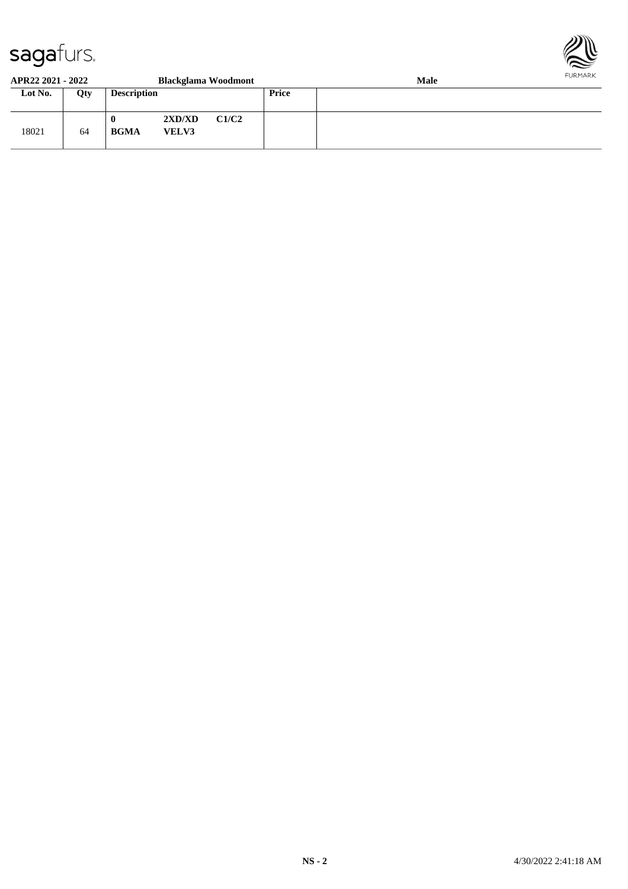

#### **APR22 2021 - 2022 Blackglama Woodmont Male Lot No. Qty Description Price** 18021 64 **0 2XD/XD C1/C2 BGMA VELV3**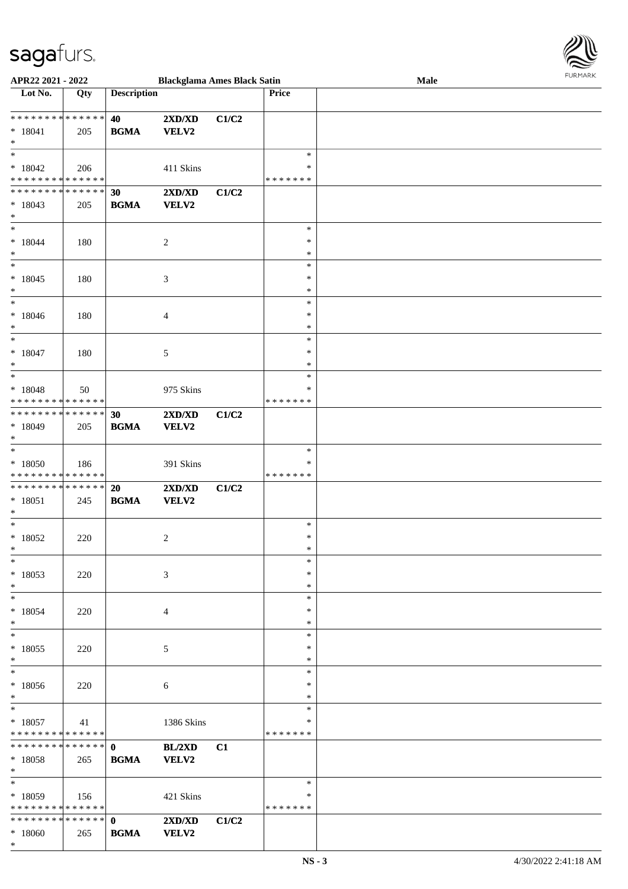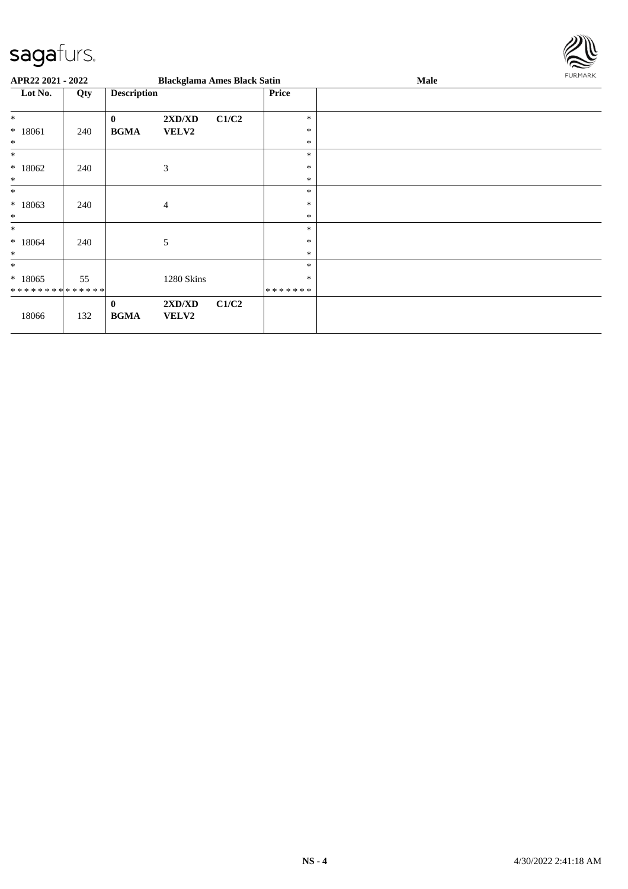

| APR22 2021 - 2022                                 |     |                         | <b>Blackglama Ames Black Satin</b> |       |                             | <b>Male</b> | FURMARK |
|---------------------------------------------------|-----|-------------------------|------------------------------------|-------|-----------------------------|-------------|---------|
| Lot No.                                           | Qty | <b>Description</b>      |                                    |       | <b>Price</b>                |             |         |
| $\ast$<br>$* 18061$<br>$\ast$                     | 240 | $\bf{0}$<br><b>BGMA</b> | 2XD/XD<br>VELV2                    | C1/C2 | $\ast$<br>$\ast$<br>$\ast$  |             |         |
| $\ast$<br>$*18062$<br>$\ast$                      | 240 |                         | 3                                  |       | $\ast$<br>$\ast$<br>$\ast$  |             |         |
| $\ast$<br>$*18063$<br>$\ast$                      | 240 |                         | $\overline{4}$                     |       | $\ast$<br>$\ast$<br>$\ast$  |             |         |
| $\ast$<br>$*18064$<br>$\ast$                      | 240 |                         | 5                                  |       | $\ast$<br>$\ast$<br>$\ast$  |             |         |
| $\ast$<br>$*18065$<br>* * * * * * * * * * * * * * | 55  |                         | 1280 Skins                         |       | $\ast$<br>$\ast$<br>******* |             |         |
| 18066                                             | 132 | $\bf{0}$<br><b>BGMA</b> | 2XD/XD<br>VELV2                    | C1/C2 |                             |             |         |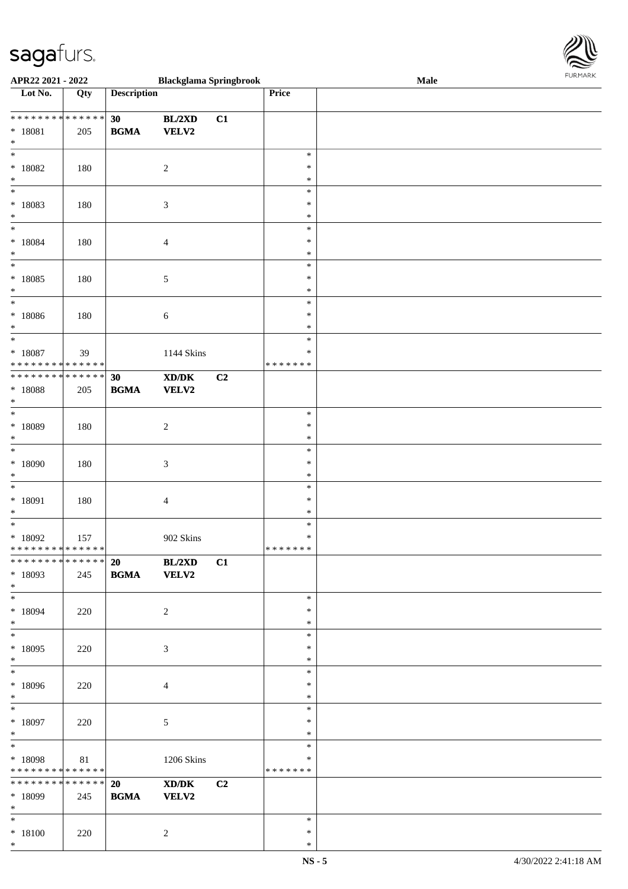

| APR22 2021 - 2022                          |     |                        | <b>Blackglama Springbrook</b>               |                |               | Male |  |
|--------------------------------------------|-----|------------------------|---------------------------------------------|----------------|---------------|------|--|
| Lot No.                                    | Qty | <b>Description</b>     |                                             |                | Price         |      |  |
|                                            |     |                        |                                             |                |               |      |  |
| **************                             |     | 30                     | BL/2XD                                      | C1             |               |      |  |
|                                            |     |                        |                                             |                |               |      |  |
| * 18081                                    | 205 | <b>BGMA</b>            | <b>VELV2</b>                                |                |               |      |  |
| $\ast$                                     |     |                        |                                             |                |               |      |  |
| $\overline{\phantom{0}}$                   |     |                        |                                             |                | $\ast$        |      |  |
| * 18082                                    | 180 |                        | $\sqrt{2}$                                  |                | $\ast$        |      |  |
| $*$                                        |     |                        |                                             |                | $\ast$        |      |  |
| $\overline{\phantom{0}}$                   |     |                        |                                             |                | $\ast$        |      |  |
| * 18083                                    | 180 |                        | $\mathfrak{Z}$                              |                | $\ast$        |      |  |
| $\ast$                                     |     |                        |                                             |                | $\ast$        |      |  |
| $*$                                        |     |                        |                                             |                |               |      |  |
|                                            |     |                        |                                             |                | $\ast$        |      |  |
| $* 18084$                                  | 180 |                        | $\overline{4}$                              |                | $\ast$        |      |  |
| $*$                                        |     |                        |                                             |                | $\ast$        |      |  |
| $\overline{\ast}$                          |     |                        |                                             |                | $\ast$        |      |  |
| $* 18085$                                  | 180 |                        | 5                                           |                | $\ast$        |      |  |
| $\ast$                                     |     |                        |                                             |                | $\ast$        |      |  |
| $\overline{\phantom{0}}$                   |     |                        |                                             |                | $\ast$        |      |  |
|                                            |     |                        |                                             |                | $\ast$        |      |  |
| * 18086                                    | 180 |                        | 6                                           |                |               |      |  |
| $\ast$                                     |     |                        |                                             |                | $\ast$        |      |  |
| $\overline{\ast}$                          |     |                        |                                             |                | $\ast$        |      |  |
| $* 18087$                                  | 39  |                        | 1144 Skins                                  |                | $\ast$        |      |  |
| * * * * * * * * <mark>* * * * * * *</mark> |     |                        |                                             |                | *******       |      |  |
| * * * * * * * * <mark>* * * * * * *</mark> |     | 30                     | $\mathbf{X}\mathbf{D}/\mathbf{D}\mathbf{K}$ | C <sub>2</sub> |               |      |  |
| * 18088                                    | 205 | <b>BGMA</b>            | <b>VELV2</b>                                |                |               |      |  |
| $\ast$                                     |     |                        |                                             |                |               |      |  |
| $\overline{\phantom{0}}$                   |     |                        |                                             |                |               |      |  |
|                                            |     |                        |                                             |                | $\ast$        |      |  |
| * 18089                                    | 180 |                        | $\overline{c}$                              |                | $\ast$        |      |  |
| $\ast$                                     |     |                        |                                             |                | $\ast$        |      |  |
| $\overline{\ast}$                          |     |                        |                                             |                | $\ast$        |      |  |
| * 18090                                    | 180 |                        | $\mathfrak{Z}$                              |                | $\ast$        |      |  |
| $\ast$                                     |     |                        |                                             |                | $\ast$        |      |  |
| $\ast$                                     |     |                        |                                             |                | $\ast$        |      |  |
|                                            |     |                        |                                             |                |               |      |  |
| * 18091                                    | 180 |                        | $\overline{4}$                              |                | $\ast$        |      |  |
| $\ast$                                     |     |                        |                                             |                | $\ast$        |      |  |
| $\ast$                                     |     |                        |                                             |                | $\ast$        |      |  |
| * 18092                                    | 157 |                        | 902 Skins                                   |                | $\ast$        |      |  |
| * * * * * * * * <mark>* * * * * * *</mark> |     |                        |                                             |                | * * * * * * * |      |  |
| **************                             |     | $\overline{20}$ BL/2XD |                                             | C1             |               |      |  |
| $*18093$                                   | 245 | <b>BGMA</b> VELV2      |                                             |                |               |      |  |
|                                            |     |                        |                                             |                |               |      |  |
| $*$                                        |     |                        |                                             |                |               |      |  |
|                                            |     |                        |                                             |                | $\ast$        |      |  |
| * 18094                                    | 220 |                        | 2                                           |                | $\ast$        |      |  |
| $\ast$                                     |     |                        |                                             |                | $\ast$        |      |  |
| $*$                                        |     |                        |                                             |                | $\ast$        |      |  |
| $*18095$                                   | 220 |                        | $\mathfrak{Z}$                              |                | $\ast$        |      |  |
| $*$                                        |     |                        |                                             |                | $\ast$        |      |  |
| $*$                                        |     |                        |                                             |                | $\ast$        |      |  |
| * 18096                                    |     |                        |                                             |                | $\ast$        |      |  |
|                                            | 220 |                        | $\overline{4}$                              |                |               |      |  |
| $*$                                        |     |                        |                                             |                | $\ast$        |      |  |
| $*$ and $*$                                |     |                        |                                             |                | $\ast$        |      |  |
| $*18097$                                   | 220 |                        | $\sqrt{5}$                                  |                | $\ast$        |      |  |
| $*$                                        |     |                        |                                             |                | $\ast$        |      |  |
| $*$                                        |     |                        |                                             |                | $\ast$        |      |  |
| * 18098                                    | 81  |                        | 1206 Skins                                  |                | $\ast$        |      |  |
| * * * * * * * * <mark>* * * * * *</mark>   |     |                        |                                             |                | *******       |      |  |
| * * * * * * * * <mark>* * * * * * *</mark> |     | 20                     |                                             | C <sub>2</sub> |               |      |  |
|                                            |     |                        | XD/DK                                       |                |               |      |  |
| * 18099                                    | 245 | <b>BGMA</b>            | <b>VELV2</b>                                |                |               |      |  |
| $*$                                        |     |                        |                                             |                |               |      |  |
| $*$ $*$                                    |     |                        |                                             |                | $\ast$        |      |  |
| * 18100                                    | 220 |                        | $\overline{c}$                              |                | $\ast$        |      |  |
| $\ast$                                     |     |                        |                                             |                | $\ast$        |      |  |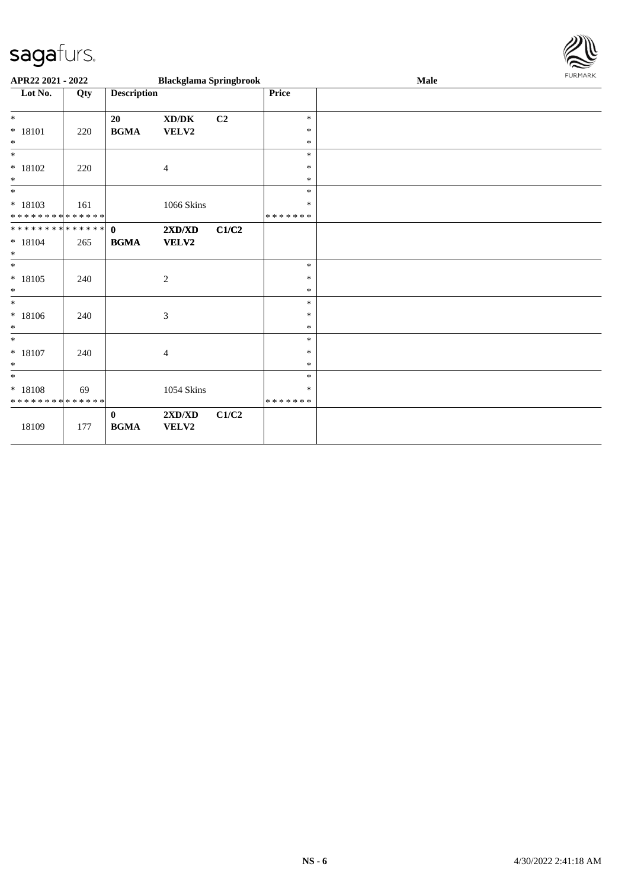

| APR22 2021 - 2022                                            |     |                                            | <b>Blackglama Springbrook</b> |       |               | Male |  |  |
|--------------------------------------------------------------|-----|--------------------------------------------|-------------------------------|-------|---------------|------|--|--|
| Lot No.                                                      | Qty | <b>Description</b>                         |                               |       | <b>Price</b>  |      |  |  |
|                                                              |     |                                            |                               |       |               |      |  |  |
| $\ast$                                                       |     | 20                                         | XD/DK                         | C2    | $\ast$        |      |  |  |
| $* 18101$                                                    | 220 | <b>BGMA</b>                                | VELV2                         |       | $\ast$        |      |  |  |
| $\ast$<br>$*$                                                |     |                                            |                               |       | $\ast$        |      |  |  |
|                                                              |     |                                            |                               |       | $\ast$        |      |  |  |
| $* 18102$                                                    | 220 |                                            | 4                             |       | $\ast$        |      |  |  |
| $\ast$<br>$\ast$                                             |     |                                            |                               |       | $\ast$        |      |  |  |
|                                                              |     |                                            |                               |       | $\ast$        |      |  |  |
| $* 18103$                                                    | 161 |                                            | 1066 Skins                    |       | $\ast$        |      |  |  |
| * * * * * * * * * * * * * *<br>* * * * * * * * * * * * * * * |     |                                            |                               |       | * * * * * * * |      |  |  |
|                                                              |     | $\mathbf{0}$                               | 2XD/XD                        | C1/C2 |               |      |  |  |
| $* 18104$<br>$\ast$                                          | 265 | <b>BGMA</b>                                | <b>VELV2</b>                  |       |               |      |  |  |
| $\ast$                                                       |     |                                            |                               |       | $\ast$        |      |  |  |
|                                                              |     |                                            |                               |       | $\ast$        |      |  |  |
| $* 18105$<br>$\ast$                                          | 240 |                                            | $\overline{c}$                |       | $\ast$        |      |  |  |
| $\ast$                                                       |     |                                            |                               |       | $\ast$        |      |  |  |
| $* 18106$                                                    |     |                                            |                               |       | $\ast$        |      |  |  |
| $\ast$                                                       | 240 |                                            | 3                             |       | $\ast$        |      |  |  |
| $\ast$                                                       |     |                                            |                               |       | $\ast$        |      |  |  |
| $* 18107$                                                    | 240 |                                            | 4                             |       | $\ast$        |      |  |  |
| $\ast$                                                       |     |                                            |                               |       | $\ast$        |      |  |  |
| $*$                                                          |     |                                            |                               |       | $\ast$        |      |  |  |
| $* 18108$                                                    | 69  |                                            | 1054 Skins                    |       | $\ast$        |      |  |  |
| * * * * * * * * * * * * * *                                  |     |                                            |                               |       | * * * * * * * |      |  |  |
|                                                              |     | $\bf{0}$                                   | 2XD/XD                        | C1/C2 |               |      |  |  |
| 18109                                                        | 177 | $\mathbf{B}\mathbf{G}\mathbf{M}\mathbf{A}$ | VELV2                         |       |               |      |  |  |
|                                                              |     |                                            |                               |       |               |      |  |  |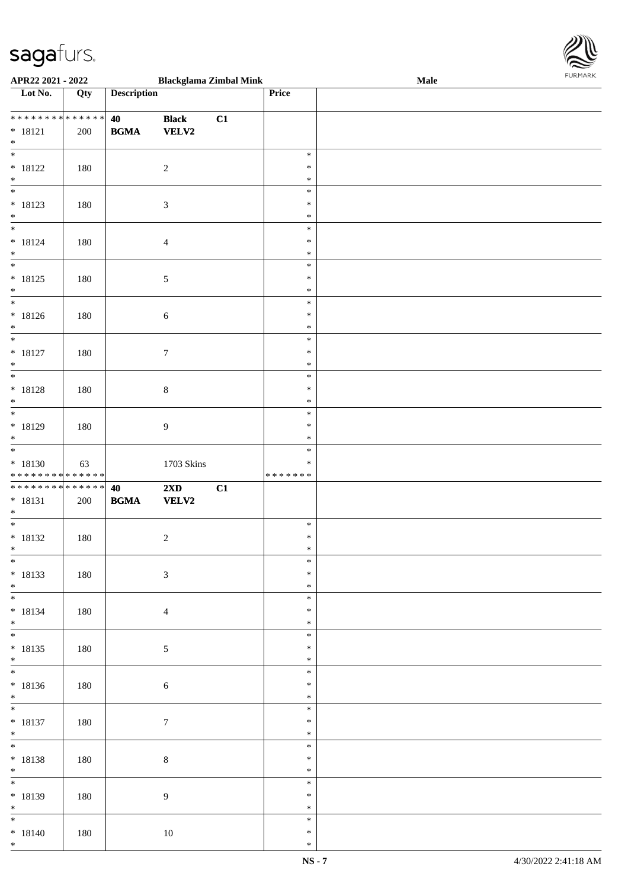

| APR22 2021 - 2022                                                                             |     |                    |                 | <b>Blackglama Zimbal Mink</b> |         | Male |
|-----------------------------------------------------------------------------------------------|-----|--------------------|-----------------|-------------------------------|---------|------|
| Lot No.                                                                                       | Qty | <b>Description</b> |                 |                               | Price   |      |
|                                                                                               |     |                    |                 |                               |         |      |
| ******** <mark>******</mark>                                                                  |     | 40                 | <b>Black</b>    | C1                            |         |      |
| $* 18121$                                                                                     | 200 | <b>BGMA</b>        | <b>VELV2</b>    |                               |         |      |
| $*$                                                                                           |     |                    |                 |                               |         |      |
| $\overline{\ast}$                                                                             |     |                    |                 |                               | $\ast$  |      |
|                                                                                               |     |                    |                 |                               | $\ast$  |      |
| $* 18122$                                                                                     | 180 |                    | $\overline{c}$  |                               |         |      |
| $*$                                                                                           |     |                    |                 |                               | $\ast$  |      |
|                                                                                               |     |                    |                 |                               | $\ast$  |      |
| $* 18123$                                                                                     | 180 |                    | $\mathfrak{Z}$  |                               | $\ast$  |      |
| $*$                                                                                           |     |                    |                 |                               | $\ast$  |      |
| $\overline{\mathbf{r}}$                                                                       |     |                    |                 |                               | $\ast$  |      |
| $* 18124$                                                                                     | 180 |                    | $\overline{4}$  |                               | $\ast$  |      |
| $*$                                                                                           |     |                    |                 |                               | $\ast$  |      |
| $\overline{\ast}$                                                                             |     |                    |                 |                               | $\ast$  |      |
| $* 18125$                                                                                     | 180 |                    | $\sqrt{5}$      |                               | $\ast$  |      |
| $*$                                                                                           |     |                    |                 |                               | $\ast$  |      |
| $\overline{\phantom{0}}$                                                                      |     |                    |                 |                               | $\ast$  |      |
| $* 18126$                                                                                     | 180 |                    | $\sqrt{6}$      |                               | $\ast$  |      |
| $*$                                                                                           |     |                    |                 |                               | $\ast$  |      |
| $\overline{\ast}$                                                                             |     |                    |                 |                               | $\ast$  |      |
|                                                                                               |     |                    |                 |                               | $\ast$  |      |
| $* 18127$                                                                                     | 180 |                    | $\tau$          |                               |         |      |
| $*$                                                                                           |     |                    |                 |                               | $\ast$  |      |
|                                                                                               |     |                    |                 |                               | $\ast$  |      |
| * 18128                                                                                       | 180 |                    | $\,8\,$         |                               | $\ast$  |      |
| $\ast$                                                                                        |     |                    |                 |                               | $\ast$  |      |
| $\overline{\phantom{0}}$                                                                      |     |                    |                 |                               | $\ast$  |      |
| * 18129                                                                                       | 180 |                    | $\overline{9}$  |                               | $\ast$  |      |
| $*$                                                                                           |     |                    |                 |                               | $\ast$  |      |
| $\overline{\phantom{0}}$                                                                      |     |                    |                 |                               | $\ast$  |      |
| * 18130                                                                                       | 63  |                    | 1703 Skins      |                               | $\ast$  |      |
| * * * * * * * * * * * * * *                                                                   |     |                    |                 |                               | ******* |      |
| ******** <mark>******</mark>                                                                  |     | 40                 | 2XD             | C1                            |         |      |
| $* 18131$                                                                                     | 200 | <b>BGMA</b>        | <b>VELV2</b>    |                               |         |      |
| $*$                                                                                           |     |                    |                 |                               |         |      |
| $\overline{\mathbf{r}^*}$                                                                     |     |                    |                 |                               | $\ast$  |      |
|                                                                                               |     |                    |                 |                               |         |      |
| $* 18132$                                                                                     | 180 |                    |                 |                               |         |      |
| $*$                                                                                           |     |                    | $\sqrt{2}$      |                               | $\ast$  |      |
|                                                                                               |     |                    |                 |                               | $\ast$  |      |
| $\overline{\ast}$                                                                             |     |                    |                 |                               | $\ast$  |      |
|                                                                                               | 180 |                    | $\mathfrak{Z}$  |                               | $\ast$  |      |
| * 18133<br>$*$                                                                                |     |                    |                 |                               | $\ast$  |      |
|                                                                                               |     |                    |                 |                               | $\ast$  |      |
|                                                                                               | 180 |                    | $\overline{4}$  |                               | ∗       |      |
| $* 18134$<br>$*$                                                                              |     |                    |                 |                               | $\ast$  |      |
| $*$                                                                                           |     |                    |                 |                               | $\ast$  |      |
|                                                                                               |     |                    |                 |                               | ∗       |      |
| $* 18135$<br>$*$                                                                              | 180 |                    | $\sqrt{5}$      |                               | $\ast$  |      |
|                                                                                               |     |                    |                 |                               | $\ast$  |      |
|                                                                                               |     |                    |                 |                               |         |      |
|                                                                                               | 180 |                    | $\sqrt{6}$      |                               | $\ast$  |      |
|                                                                                               |     |                    |                 |                               | $\ast$  |      |
|                                                                                               |     |                    |                 |                               | $\ast$  |      |
|                                                                                               | 180 |                    | $7\phantom{.0}$ |                               | $\ast$  |      |
|                                                                                               |     |                    |                 |                               | $\ast$  |      |
|                                                                                               |     |                    |                 |                               | $\ast$  |      |
|                                                                                               | 180 |                    | $\,8\,$         |                               | $\ast$  |      |
|                                                                                               |     |                    |                 |                               | $\ast$  |      |
|                                                                                               |     |                    |                 |                               | $\ast$  |      |
|                                                                                               | 180 |                    | $\overline{9}$  |                               | $\ast$  |      |
| $* 18136$<br>$*$<br>$* 18137$<br>$*$<br>* 18138<br>$*$<br>$\overline{\ast}$<br>* 18139<br>$*$ |     |                    |                 |                               | $\ast$  |      |
|                                                                                               |     |                    |                 |                               | $\ast$  |      |
| $* 18140$                                                                                     | 180 |                    | 10              |                               | $\ast$  |      |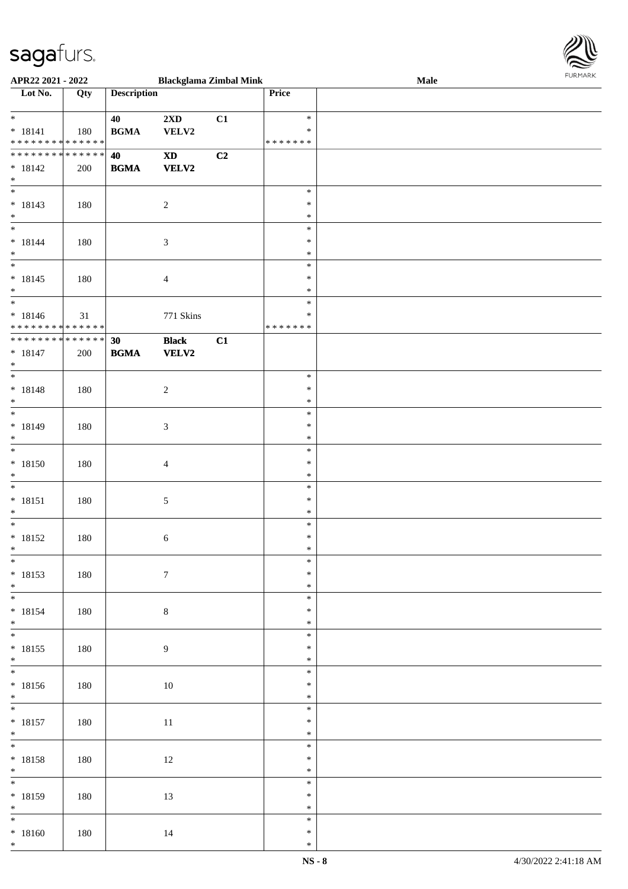

| APR22 2021 - 2022                          |     |                    |                            | <b>Blackglama Zimbal Mink</b> |               | Male |
|--------------------------------------------|-----|--------------------|----------------------------|-------------------------------|---------------|------|
| Lot No.                                    | Qty | <b>Description</b> |                            |                               | Price         |      |
|                                            |     |                    |                            |                               |               |      |
| $\ddot{x}$                                 |     | 40                 | 2XD                        | C1                            | $\ast$        |      |
| $* 18141$                                  |     | <b>BGMA</b>        | VELV2                      |                               | $\ast$        |      |
| * * * * * * * * <mark>* * * * * * *</mark> | 180 |                    |                            |                               | * * * * * * * |      |
|                                            |     |                    |                            |                               |               |      |
| * * * * * * * * <mark>* * * * * * *</mark> |     | 40                 | $\boldsymbol{\mathrm{XD}}$ | C2                            |               |      |
| $* 18142$                                  | 200 | <b>BGMA</b>        | VELV2                      |                               |               |      |
| $\ast$                                     |     |                    |                            |                               |               |      |
|                                            |     |                    |                            |                               | $\ast$        |      |
| $* 18143$                                  | 180 |                    | $\sqrt{2}$                 |                               | $\ast$        |      |
| $\ast$                                     |     |                    |                            |                               | $\ast$        |      |
| $\overline{\ast}$                          |     |                    |                            |                               | $\ast$        |      |
|                                            |     |                    |                            |                               | $\ast$        |      |
| $* 18144$                                  | 180 |                    | $\mathfrak{Z}$             |                               |               |      |
| $*$                                        |     |                    |                            |                               | $\ast$        |      |
| $\overline{\phantom{0}}$                   |     |                    |                            |                               | $\ast$        |      |
| $* 18145$                                  | 180 |                    | $\overline{4}$             |                               | $\ast$        |      |
| $\ast$                                     |     |                    |                            |                               | $\ast$        |      |
| $\overline{\phantom{0}}$                   |     |                    |                            |                               | $\ast$        |      |
| $* 18146$                                  | 31  |                    | 771 Skins                  |                               | $\ast$        |      |
| * * * * * * * * <mark>* * * * * * *</mark> |     |                    |                            |                               | * * * * * * * |      |
| * * * * * * * * * * * * * * <mark>*</mark> |     |                    |                            |                               |               |      |
|                                            |     | 30                 | <b>Black</b>               | C1                            |               |      |
| $* 18147$                                  | 200 | <b>BGMA</b>        | VELV2                      |                               |               |      |
| $\ast$                                     |     |                    |                            |                               |               |      |
| $\overline{\phantom{0}}$                   |     |                    |                            |                               | $\ast$        |      |
| $* 18148$                                  | 180 |                    | $\boldsymbol{2}$           |                               | $\ast$        |      |
| $\ast$                                     |     |                    |                            |                               | $\ast$        |      |
| $\overline{\phantom{0}}$                   |     |                    |                            |                               | $\ast$        |      |
|                                            |     |                    |                            |                               | $\ast$        |      |
| $* 18149$                                  | 180 |                    | 3                          |                               |               |      |
| $\ast$                                     |     |                    |                            |                               | $\ast$        |      |
| $\overline{\ast}$                          |     |                    |                            |                               | $\ast$        |      |
| $* 18150$                                  | 180 |                    | $\overline{4}$             |                               | $\ast$        |      |
| $*$                                        |     |                    |                            |                               | $\ast$        |      |
| $\ast$                                     |     |                    |                            |                               | $\ast$        |      |
| $* 18151$                                  | 180 |                    | 5                          |                               | $\ast$        |      |
| $\ast$                                     |     |                    |                            |                               | $\ast$        |      |
| $\ast$                                     |     |                    |                            |                               | $\ast$        |      |
|                                            |     |                    |                            |                               |               |      |
| $* 18152$                                  | 180 |                    | 6                          |                               | $\ast$        |      |
| $\ast$                                     |     |                    |                            |                               | $\ast$        |      |
| $\overline{\ast}$                          |     |                    |                            |                               | $\ast$        |      |
| $* 18153$                                  | 180 |                    | $\boldsymbol{7}$           |                               | $\ast$        |      |
| $*$                                        |     |                    |                            |                               | $\ast$        |      |
|                                            |     |                    |                            |                               | $\ast$        |      |
|                                            |     |                    |                            |                               |               |      |
| $* 18154$                                  | 180 |                    | $8\,$                      |                               | $\ast$        |      |
| $\ast$                                     |     |                    |                            |                               | $\ast$        |      |
| $*$                                        |     |                    |                            |                               | $\ast$        |      |
| $* 18155$                                  | 180 |                    | $\boldsymbol{9}$           |                               | $\ast$        |      |
| $*$                                        |     |                    |                            |                               | $\ast$        |      |
| $\ddot{x}$                                 |     |                    |                            |                               | $\ast$        |      |
| $* 18156$                                  | 180 |                    | 10                         |                               | $\ast$        |      |
| $*$                                        |     |                    |                            |                               | $\ast$        |      |
| $\overline{\mathbf{r}}$                    |     |                    |                            |                               |               |      |
|                                            |     |                    |                            |                               | $\ast$        |      |
| $* 18157$                                  | 180 |                    | $11\,$                     |                               | $\ast$        |      |
| $*$                                        |     |                    |                            |                               | $\ast$        |      |
| $*$                                        |     |                    |                            |                               | $\ast$        |      |
| * 18158                                    | 180 |                    | 12                         |                               | $\ast$        |      |
|                                            |     |                    |                            |                               | $\ast$        |      |
| $*$                                        |     |                    |                            |                               | $\ast$        |      |
|                                            |     |                    |                            |                               |               |      |
| * 18159                                    | 180 |                    | 13                         |                               | $\ast$        |      |
| $*$                                        |     |                    |                            |                               | $\ast$        |      |
| $\overline{\mathbf{r}}$                    |     |                    |                            |                               | $\ast$        |      |
| $* 18160$                                  | 180 |                    | 14                         |                               | $\ast$        |      |
| $*$                                        |     |                    |                            |                               | $\ast$        |      |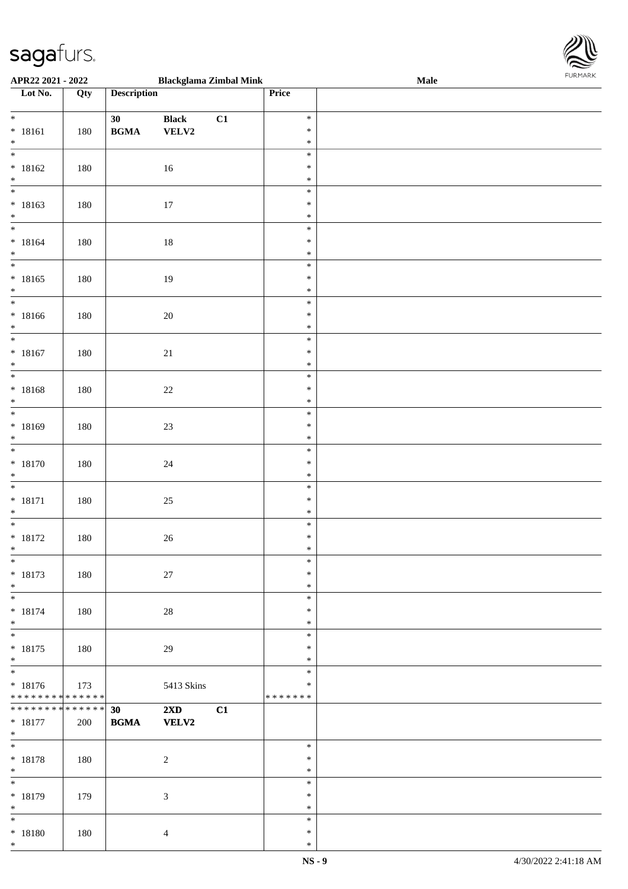

| APR22 2021 - 2022                          |     |                    | <b>Blackglama Zimbal Mink</b> |    |         | Male |
|--------------------------------------------|-----|--------------------|-------------------------------|----|---------|------|
| Lot No.                                    | Qty | <b>Description</b> |                               |    | Price   |      |
|                                            |     |                    |                               |    |         |      |
| $*$                                        |     | 30                 | <b>Black</b>                  | C1 | $\ast$  |      |
| $* 18161$                                  | 180 | <b>BGMA</b>        | <b>VELV2</b>                  |    | $\ast$  |      |
| $\ast$                                     |     |                    |                               |    | $\ast$  |      |
| $\overline{\ast}$                          |     |                    |                               |    | $\ast$  |      |
| $* 18162$                                  | 180 |                    | 16                            |    | $\ast$  |      |
| $\ddot{x}$                                 |     |                    |                               |    | $\ast$  |      |
| $\overline{\phantom{0}}$                   |     |                    |                               |    |         |      |
|                                            |     |                    |                               |    | $\ast$  |      |
| $* 18163$                                  | 180 |                    | $17\,$                        |    | $\ast$  |      |
| $*$                                        |     |                    |                               |    | $\ast$  |      |
| $\overline{\phantom{0}}$                   |     |                    |                               |    | $\ast$  |      |
| $* 18164$                                  | 180 |                    | 18                            |    | $\ast$  |      |
| $*$                                        |     |                    |                               |    | $\ast$  |      |
|                                            |     |                    |                               |    | $\ast$  |      |
| $* 18165$                                  | 180 |                    | 19                            |    | $\ast$  |      |
| $*$                                        |     |                    |                               |    | $\ast$  |      |
| $\overline{\phantom{0}}$                   |     |                    |                               |    | $\ast$  |      |
| $* 18166$                                  | 180 |                    | $20\,$                        |    | $\ast$  |      |
| $\ast$                                     |     |                    |                               |    | $\ast$  |      |
| $\overline{\ast}$                          |     |                    |                               |    | $\ast$  |      |
| $* 18167$                                  | 180 |                    | 21                            |    | $\ast$  |      |
| $\ast$                                     |     |                    |                               |    | $\ast$  |      |
| $\overline{\ast}$                          |     |                    |                               |    | $\ast$  |      |
|                                            |     |                    |                               |    |         |      |
| $* 18168$                                  | 180 |                    | $22\,$                        |    | $\ast$  |      |
| $\ast$<br>$\overline{\ast}$                |     |                    |                               |    | $\ast$  |      |
|                                            |     |                    |                               |    | $\ast$  |      |
| $* 18169$                                  | 180 |                    | $23\,$                        |    | $\ast$  |      |
| $\ast$                                     |     |                    |                               |    | $\ast$  |      |
| $*$                                        |     |                    |                               |    | $\ast$  |      |
| $* 18170$                                  | 180 |                    | 24                            |    | $\ast$  |      |
| $*$                                        |     |                    |                               |    | $\ast$  |      |
| $\overline{\ }$                            |     |                    |                               |    | $\ast$  |      |
| $* 18171$                                  | 180 |                    | $25\,$                        |    | $\ast$  |      |
| $\ast$                                     |     |                    |                               |    | $\ast$  |      |
| $\overline{\ast}$                          |     |                    |                               |    | $\ast$  |      |
| $* 18172$                                  | 180 |                    | 26                            |    | $\ast$  |      |
| $*$                                        |     |                    |                               |    | $\ast$  |      |
| $\ast$                                     |     |                    |                               |    | $\ast$  |      |
| * 18173                                    | 180 |                    | 27                            |    | $\ast$  |      |
| $*$                                        |     |                    |                               |    | $\ast$  |      |
|                                            |     |                    |                               |    | $\ast$  |      |
|                                            |     |                    |                               |    | $\ast$  |      |
| $* 18174$<br>$\ast$                        | 180 |                    | $28\,$                        |    | $\ast$  |      |
| $\overline{\mathbf{r}}$                    |     |                    |                               |    |         |      |
|                                            |     |                    |                               |    | $\ast$  |      |
| $* 18175$                                  | 180 |                    | 29                            |    | $\ast$  |      |
| $\ast$                                     |     |                    |                               |    | $\ast$  |      |
| $\overline{\ast}$                          |     |                    |                               |    | $\ast$  |      |
| $* 18176$                                  | 173 |                    | 5413 Skins                    |    | $\ast$  |      |
| * * * * * * * * <mark>* * * * * * *</mark> |     |                    |                               |    | ******* |      |
| * * * * * * * * <mark>* * * * * * *</mark> |     | 30                 | $2\mathbf{X}\mathbf{D}$       | C1 |         |      |
| * 18177                                    | 200 | <b>BGMA</b>        | <b>VELV2</b>                  |    |         |      |
| $*$                                        |     |                    |                               |    |         |      |
| $\ddot{x}$                                 |     |                    |                               |    | $\ast$  |      |
| * 18178                                    | 180 |                    | $\overline{2}$                |    | $\ast$  |      |
| $*$                                        |     |                    |                               |    | $\ast$  |      |
|                                            |     |                    |                               |    | $\ast$  |      |
| $* 18179$                                  | 179 |                    | $\mathfrak{Z}$                |    | $\ast$  |      |
| $*$                                        |     |                    |                               |    | $\ast$  |      |
|                                            |     |                    |                               |    | $\ast$  |      |
| * 18180                                    | 180 |                    | $\overline{4}$                |    | $\ast$  |      |
| $\ast$                                     |     |                    |                               |    | $\ast$  |      |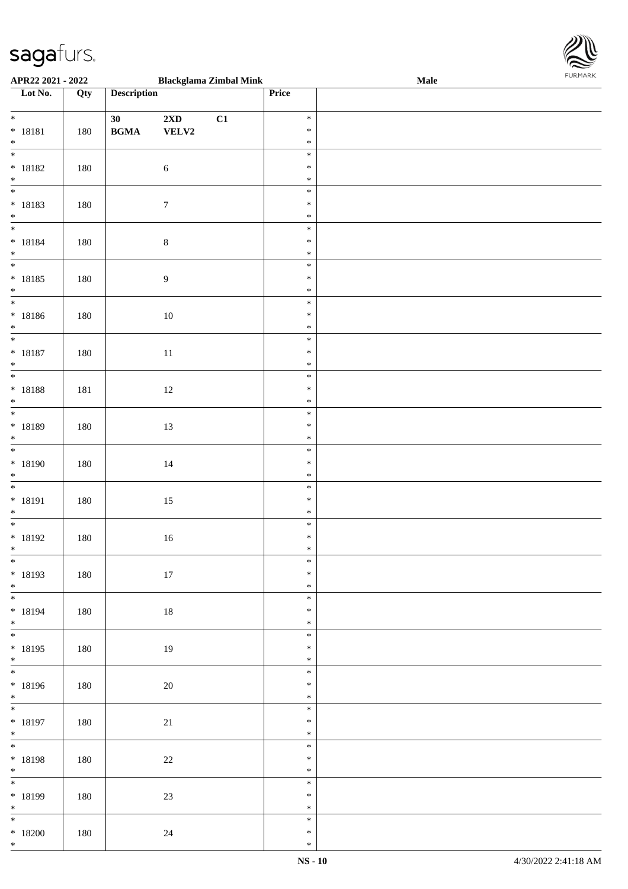

| APR22 2021 - 2022              |     |                                            | <b>Blackglama Zimbal Mink</b> |    |        | Male |
|--------------------------------|-----|--------------------------------------------|-------------------------------|----|--------|------|
| Lot No.                        | Qty | <b>Description</b>                         |                               |    | Price  |      |
|                                |     |                                            |                               |    |        |      |
| $\ddot{x}$                     |     | 30                                         | 2XD                           | C1 | $\ast$ |      |
| * 18181                        | 180 | $\mathbf{B}\mathbf{G}\mathbf{M}\mathbf{A}$ | ${\bf VELV2}$                 |    | $\ast$ |      |
| $*$                            |     |                                            |                               |    | $\ast$ |      |
|                                |     |                                            |                               |    | $\ast$ |      |
| $* 18182$                      | 180 |                                            | $\sqrt{6}$                    |    | $\ast$ |      |
| $*$                            |     |                                            |                               |    | $\ast$ |      |
|                                |     |                                            |                               |    | $\ast$ |      |
| * 18183                        | 180 |                                            | $\boldsymbol{7}$              |    | $\ast$ |      |
| $\ddot{x}$                     |     |                                            |                               |    | $\ast$ |      |
|                                |     |                                            |                               |    | $\ast$ |      |
| * 18184                        | 180 |                                            | $\,8\,$                       |    | $\ast$ |      |
| $*$                            |     |                                            |                               |    | $\ast$ |      |
|                                |     |                                            |                               |    | $\ast$ |      |
|                                |     |                                            |                               |    |        |      |
| $* 18185$                      | 180 |                                            | $\boldsymbol{9}$              |    | $\ast$ |      |
| $*$                            |     |                                            |                               |    | $\ast$ |      |
|                                |     |                                            |                               |    | $\ast$ |      |
| * 18186                        | 180 |                                            | 10                            |    | $\ast$ |      |
| $*$                            |     |                                            |                               |    | $\ast$ |      |
|                                |     |                                            |                               |    | $\ast$ |      |
| * 18187                        | 180 |                                            | 11                            |    | $\ast$ |      |
| $\ast$                         |     |                                            |                               |    | $\ast$ |      |
| $\overline{\ast}$              |     |                                            |                               |    | $\ast$ |      |
| * 18188                        | 181 |                                            | 12                            |    | $\ast$ |      |
| $\ast$                         |     |                                            |                               |    | $\ast$ |      |
| $\overline{\phantom{0}}$       |     |                                            |                               |    | $\ast$ |      |
| * 18189                        | 180 |                                            | 13                            |    | $\ast$ |      |
| $\ast$                         |     |                                            |                               |    | $\ast$ |      |
| $\overline{\ast}$              |     |                                            |                               |    | $\ast$ |      |
| * 18190                        | 180 |                                            | $14\,$                        |    | $\ast$ |      |
| $*$                            |     |                                            |                               |    | $\ast$ |      |
|                                |     |                                            |                               |    | $\ast$ |      |
| * 18191                        | 180 |                                            | 15                            |    | $\ast$ |      |
| $*$                            |     |                                            |                               |    | $\ast$ |      |
| $\overline{\ast}$              |     |                                            |                               |    | $\ast$ |      |
| * 18192                        | 180 |                                            | $16\,$                        |    | $\ast$ |      |
| $\ddot{x}$                     |     |                                            |                               |    | $\ast$ |      |
| $\overline{\ast}$              |     |                                            |                               |    | $\ast$ |      |
| * 18193                        | 180 |                                            | 17                            |    | $\ast$ |      |
| $*$                            |     |                                            |                               |    | $\ast$ |      |
| $\overline{\ast}$              |     |                                            |                               |    | $\ast$ |      |
| * 18194                        |     |                                            |                               |    | $\ast$ |      |
| $*$                            | 180 |                                            | 18                            |    | $\ast$ |      |
| $*$                            |     |                                            |                               |    | $\ast$ |      |
| * 18195                        |     |                                            |                               |    | $\ast$ |      |
|                                | 180 |                                            | 19                            |    | $\ast$ |      |
| $*$<br>$\overline{\mathbf{r}}$ |     |                                            |                               |    |        |      |
|                                |     |                                            |                               |    | $\ast$ |      |
| * 18196                        | 180 |                                            | 20                            |    | $\ast$ |      |
| $*$<br>$\ddot{x}$              |     |                                            |                               |    | $\ast$ |      |
|                                |     |                                            |                               |    | $\ast$ |      |
| * 18197                        | 180 |                                            | 21                            |    | $\ast$ |      |
| $*$                            |     |                                            |                               |    | $\ast$ |      |
| $\ddot{x}$                     |     |                                            |                               |    | $\ast$ |      |
| * 18198                        | 180 |                                            | 22                            |    | $\ast$ |      |
| $*$<br>*                       |     |                                            |                               |    | $\ast$ |      |
|                                |     |                                            |                               |    | $\ast$ |      |
| * 18199                        | 180 |                                            | 23                            |    | $\ast$ |      |
| $*$                            |     |                                            |                               |    | $\ast$ |      |
| $\ddot{x}$                     |     |                                            |                               |    | $\ast$ |      |
| $*18200$                       | 180 |                                            | 24                            |    | $\ast$ |      |
| $*$                            |     |                                            |                               |    | $\ast$ |      |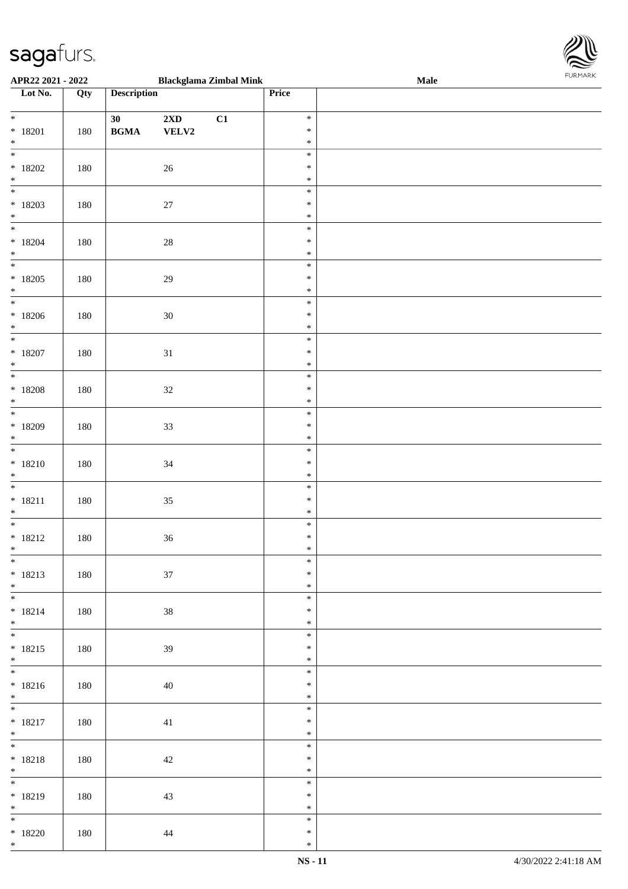

| APR22 2021 - 2022               |     |                                            |                         | <b>Blackglama Zimbal Mink</b> |        | <b>Male</b> |
|---------------------------------|-----|--------------------------------------------|-------------------------|-------------------------------|--------|-------------|
| Lot No.                         | Qty | <b>Description</b>                         |                         |                               | Price  |             |
|                                 |     |                                            |                         |                               |        |             |
| $*$                             |     | 30                                         | $2\mathbf{X}\mathbf{D}$ | C1                            | $\ast$ |             |
| $* 18201$                       | 180 | $\mathbf{B}\mathbf{G}\mathbf{M}\mathbf{A}$ | VELV2                   |                               | $\ast$ |             |
| $*$                             |     |                                            |                         |                               | $\ast$ |             |
|                                 |     |                                            |                         |                               | $\ast$ |             |
| $*18202$                        | 180 |                                            | $26\,$                  |                               | $\ast$ |             |
| $*$                             |     |                                            |                         |                               | $\ast$ |             |
|                                 |     |                                            |                         |                               | $\ast$ |             |
| $*18203$                        | 180 |                                            | 27                      |                               | $\ast$ |             |
| $*$                             |     |                                            |                         |                               | $\ast$ |             |
|                                 |     |                                            |                         |                               | $\ast$ |             |
| $*18204$                        | 180 |                                            |                         |                               | $\ast$ |             |
| $*$                             |     |                                            | $28\,$                  |                               | $\ast$ |             |
|                                 |     |                                            |                         |                               | $\ast$ |             |
|                                 |     |                                            |                         |                               |        |             |
| $*18205$                        | 180 |                                            | 29                      |                               | $\ast$ |             |
| $*$<br>$\overline{\phantom{0}}$ |     |                                            |                         |                               | $\ast$ |             |
|                                 |     |                                            |                         |                               | $\ast$ |             |
| $*18206$                        | 180 |                                            | $30\,$                  |                               | $\ast$ |             |
| $*$                             |     |                                            |                         |                               | $\ast$ |             |
| $\overline{\ast}$               |     |                                            |                         |                               | $\ast$ |             |
| $*18207$                        | 180 |                                            | 31                      |                               | $\ast$ |             |
| $*$                             |     |                                            |                         |                               | $\ast$ |             |
|                                 |     |                                            |                         |                               | $\ast$ |             |
| $*18208$                        | 180 |                                            | $32\,$                  |                               | $\ast$ |             |
| $\ast$                          |     |                                            |                         |                               | $\ast$ |             |
|                                 |     |                                            |                         |                               | $\ast$ |             |
| $*18209$                        | 180 |                                            | 33                      |                               | $\ast$ |             |
| $*$                             |     |                                            |                         |                               | $\ast$ |             |
|                                 |     |                                            |                         |                               | $\ast$ |             |
| $* 18210$                       | 180 |                                            | 34                      |                               | $\ast$ |             |
| $*$                             |     |                                            |                         |                               | $\ast$ |             |
| $*$                             |     |                                            |                         |                               | $\ast$ |             |
| $* 18211$                       | 180 |                                            | $35\,$                  |                               | $\ast$ |             |
| $*$                             |     |                                            |                         |                               | $\ast$ |             |
|                                 |     |                                            |                         |                               | $\ast$ |             |
| $* 18212$                       | 180 |                                            | $36\,$                  |                               | $\ast$ |             |
| $*$                             |     |                                            |                         |                               | $\ast$ |             |
| $\overline{\ast}$               |     |                                            |                         |                               | $\ast$ |             |
| $* 18213$                       | 180 |                                            | 37                      |                               | $\ast$ |             |
| $*$                             |     |                                            |                         |                               | $\ast$ |             |
|                                 |     |                                            |                         |                               | $\ast$ |             |
|                                 |     |                                            |                         |                               | $\ast$ |             |
| $* 18214$                       | 180 |                                            | 38                      |                               |        |             |
| $*$<br>$*$                      |     |                                            |                         |                               | $\ast$ |             |
|                                 |     |                                            |                         |                               | $\ast$ |             |
| $* 18215$                       | 180 |                                            | 39                      |                               | $\ast$ |             |
| $*$                             |     |                                            |                         |                               | $\ast$ |             |
|                                 |     |                                            |                         |                               | $\ast$ |             |
| $* 18216$                       | 180 |                                            | 40                      |                               | $\ast$ |             |
| $*$                             |     |                                            |                         |                               | $\ast$ |             |
| $*$                             |     |                                            |                         |                               | $\ast$ |             |
| $* 18217$                       | 180 |                                            | 41                      |                               | $\ast$ |             |
| $*$                             |     |                                            |                         |                               | $\ast$ |             |
| $*$                             |     |                                            |                         |                               | $\ast$ |             |
| $* 18218$                       | 180 |                                            | $42\,$                  |                               | $\ast$ |             |
| $*$                             |     |                                            |                         |                               | $\ast$ |             |
|                                 |     |                                            |                         |                               | $\ast$ |             |
| * 18219                         | 180 |                                            | 43                      |                               | $\ast$ |             |
| $*$                             |     |                                            |                         |                               | $\ast$ |             |
| $\overline{\mathbf{r}}$         |     |                                            |                         |                               | $\ast$ |             |
| $*18220$                        | 180 |                                            | 44                      |                               | $\ast$ |             |
| $*$                             |     |                                            |                         |                               | $\ast$ |             |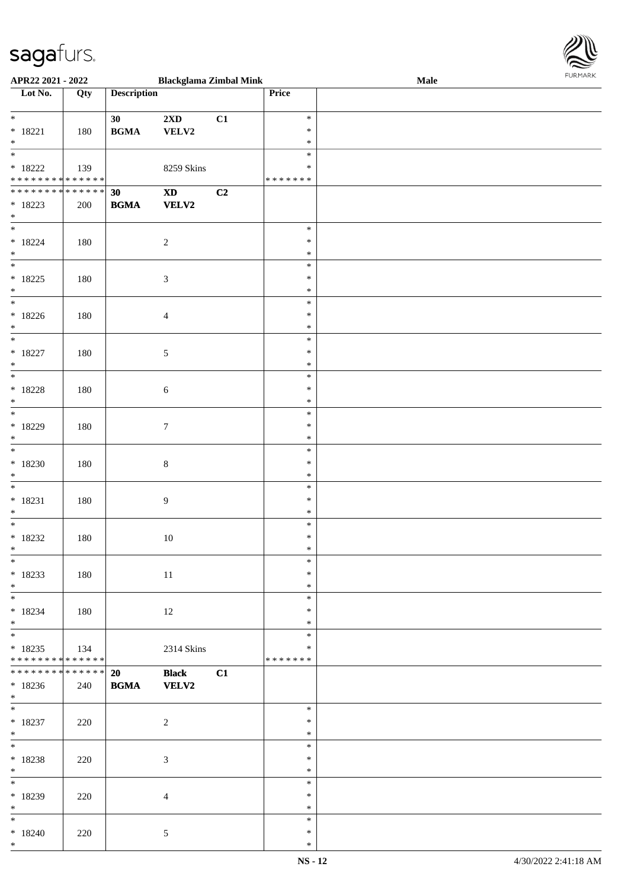

| APR22 2021 - 2022                          |     |                                            | <b>Blackglama Zimbal Mink</b> |    |         | Male |
|--------------------------------------------|-----|--------------------------------------------|-------------------------------|----|---------|------|
| Lot No.                                    | Qty | <b>Description</b>                         |                               |    | Price   |      |
|                                            |     |                                            |                               |    |         |      |
| $\ddot{x}$                                 |     | 30                                         | $2{\bf X}{\bf D}$             | C1 | $\ast$  |      |
| $* 18221$                                  | 180 | $\mathbf{B}\mathbf{G}\mathbf{M}\mathbf{A}$ | VELV2                         |    | $\ast$  |      |
| $*$                                        |     |                                            |                               |    | $\ast$  |      |
|                                            |     |                                            |                               |    | $\ast$  |      |
| $*18222$                                   |     |                                            | 8259 Skins                    |    | $\ast$  |      |
| * * * * * * * * <mark>* * * * * * *</mark> | 139 |                                            |                               |    | ******* |      |
|                                            |     |                                            |                               |    |         |      |
| ******** <mark>******</mark>               |     | 30                                         | $\boldsymbol{\mathrm{XD}}$    | C2 |         |      |
| $*18223$                                   | 200 | <b>BGMA</b>                                | <b>VELV2</b>                  |    |         |      |
| $*$                                        |     |                                            |                               |    |         |      |
| $\ddot{x}$                                 |     |                                            |                               |    | $\ast$  |      |
| $* 18224$                                  | 180 |                                            | $\overline{c}$                |    | $\ast$  |      |
| $*$                                        |     |                                            |                               |    | $\ast$  |      |
| $\overline{\mathbf{r}}$                    |     |                                            |                               |    | $\ast$  |      |
| $* 18225$                                  | 180 |                                            | $\mathfrak{Z}$                |    | $\ast$  |      |
| $*$                                        |     |                                            |                               |    | $\ast$  |      |
| $\overline{\phantom{0}}$                   |     |                                            |                               |    | $\ast$  |      |
| $*18226$                                   |     |                                            |                               |    | $\ast$  |      |
|                                            | 180 |                                            | $\overline{4}$                |    |         |      |
| $\ast$<br>$\overline{\ast}$                |     |                                            |                               |    | $\ast$  |      |
|                                            |     |                                            |                               |    | $\ast$  |      |
| $* 18227$                                  | 180 |                                            | 5                             |    | $\ast$  |      |
| $\ast$                                     |     |                                            |                               |    | $\ast$  |      |
|                                            |     |                                            |                               |    | $\ast$  |      |
| $* 18228$                                  | 180 |                                            | 6                             |    | $\ast$  |      |
| $\ast$                                     |     |                                            |                               |    | $\ast$  |      |
| $\overline{\phantom{0}}$                   |     |                                            |                               |    | $\ast$  |      |
| $*18229$                                   | 180 |                                            | $\boldsymbol{7}$              |    | $\ast$  |      |
| $\ast$                                     |     |                                            |                               |    | $\ast$  |      |
| $\ast$                                     |     |                                            |                               |    | $\ast$  |      |
|                                            |     |                                            |                               |    | $\ast$  |      |
| $*18230$                                   | 180 |                                            | $\,8\,$                       |    |         |      |
| $*$                                        |     |                                            |                               |    | $\ast$  |      |
| $\ast$                                     |     |                                            |                               |    | $\ast$  |      |
| $* 18231$                                  | 180 |                                            | 9                             |    | $\ast$  |      |
| $*$                                        |     |                                            |                               |    | $\ast$  |      |
|                                            |     |                                            |                               |    | $\ast$  |      |
| $*18232$                                   | 180 |                                            | $10\,$                        |    | $\ast$  |      |
| $*$                                        |     |                                            |                               |    | $\ast$  |      |
| $*$                                        |     |                                            |                               |    | $\ast$  |      |
| $*18233$                                   | 180 |                                            | 11                            |    | $\ast$  |      |
| $*$                                        |     |                                            |                               |    | $\ast$  |      |
| $\overline{\ast}$                          |     |                                            |                               |    | $\ast$  |      |
| $*18234$                                   | 180 |                                            |                               |    | $\ast$  |      |
| $*$ $-$                                    |     |                                            | 12                            |    | $\ast$  |      |
| $*$                                        |     |                                            |                               |    |         |      |
|                                            |     |                                            |                               |    | $\ast$  |      |
| $*18235$                                   | 134 |                                            | 2314 Skins                    |    | $\ast$  |      |
| * * * * * * * * <mark>* * * * * * *</mark> |     |                                            |                               |    | ******* |      |
| * * * * * * * * <mark>* * * * * *</mark> * |     | 20                                         | <b>Black</b>                  | C1 |         |      |
| $*18236$                                   | 240 | <b>BGMA</b>                                | <b>VELV2</b>                  |    |         |      |
| $*$                                        |     |                                            |                               |    |         |      |
| $\overline{\mathbf{r}}$                    |     |                                            |                               |    | $\ast$  |      |
| $*18237$                                   | 220 |                                            | $\overline{2}$                |    | $\ast$  |      |
| $*$                                        |     |                                            |                               |    | $\ast$  |      |
| $*$                                        |     |                                            |                               |    | $\ast$  |      |
| $*18238$                                   | 220 |                                            | $\mathfrak{Z}$                |    | $\ast$  |      |
| $\ast$                                     |     |                                            |                               |    | $\ast$  |      |
|                                            |     |                                            |                               |    | $\ast$  |      |
|                                            |     |                                            |                               |    |         |      |
| $*18239$                                   | 220 |                                            | $\overline{4}$                |    | $\ast$  |      |
| $*$                                        |     |                                            |                               |    | $\ast$  |      |
| $\ddot{x}$                                 |     |                                            |                               |    | $\ast$  |      |
| $*18240$                                   | 220 |                                            | 5                             |    | $\ast$  |      |
| $*$                                        |     |                                            |                               |    | $\ast$  |      |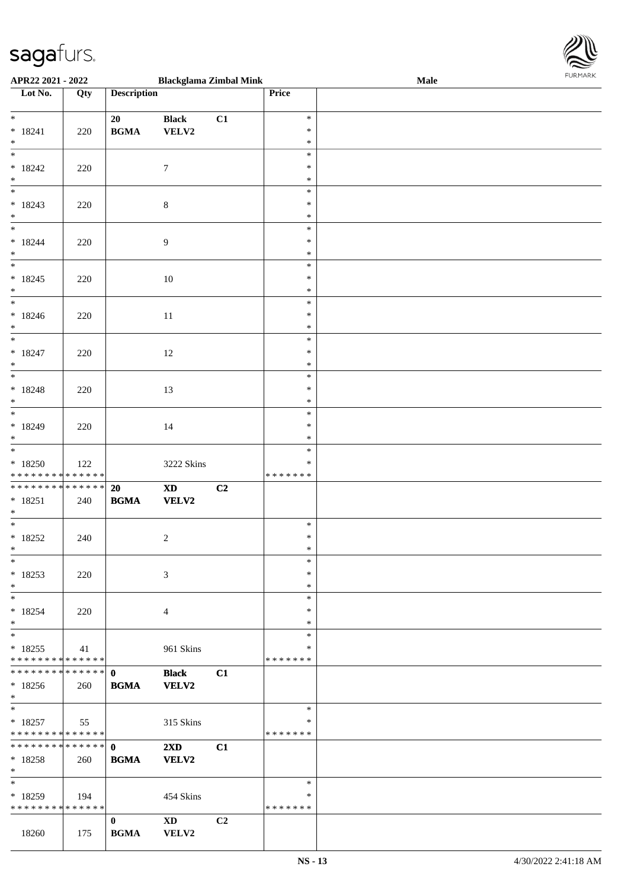

| APR22 2021 - 2022                          |     |                    | <b>Blackglama Zimbal Mink</b>                                                                                                                                                                                                  |                |               | Male | 10111111111 |
|--------------------------------------------|-----|--------------------|--------------------------------------------------------------------------------------------------------------------------------------------------------------------------------------------------------------------------------|----------------|---------------|------|-------------|
| Lot No.                                    | Qty | <b>Description</b> |                                                                                                                                                                                                                                |                | Price         |      |             |
|                                            |     |                    |                                                                                                                                                                                                                                |                |               |      |             |
| $\ddot{x}$                                 |     | 20                 | <b>Black</b>                                                                                                                                                                                                                   | C1             | $\ast$        |      |             |
| $* 18241$                                  | 220 | <b>BGMA</b>        | VELV2                                                                                                                                                                                                                          |                | $\ast$        |      |             |
| $*$                                        |     |                    |                                                                                                                                                                                                                                |                | $\ast$        |      |             |
| $\overline{\ast}$                          |     |                    |                                                                                                                                                                                                                                |                | $\ast$        |      |             |
| $*18242$                                   | 220 |                    | $\tau$                                                                                                                                                                                                                         |                | $\ast$        |      |             |
| $*$                                        |     |                    |                                                                                                                                                                                                                                |                | $\ast$        |      |             |
|                                            |     |                    |                                                                                                                                                                                                                                |                | $\ast$        |      |             |
| $* 18243$                                  | 220 |                    | $\,8\,$                                                                                                                                                                                                                        |                | $\ast$        |      |             |
| $\ast$                                     |     |                    |                                                                                                                                                                                                                                |                | $\ast$        |      |             |
| $*$                                        |     |                    |                                                                                                                                                                                                                                |                | $\ast$        |      |             |
| $* 18244$                                  | 220 |                    | 9                                                                                                                                                                                                                              |                | $\ast$        |      |             |
| $\ast$                                     |     |                    |                                                                                                                                                                                                                                |                | $\ast$        |      |             |
|                                            |     |                    |                                                                                                                                                                                                                                |                | $\ast$        |      |             |
| $* 18245$                                  | 220 |                    | 10                                                                                                                                                                                                                             |                | $\ast$        |      |             |
| $*$                                        |     |                    |                                                                                                                                                                                                                                |                | $\ast$        |      |             |
| $\ast$                                     |     |                    |                                                                                                                                                                                                                                |                | $\ast$        |      |             |
| $*18246$                                   |     |                    |                                                                                                                                                                                                                                |                | $\ast$        |      |             |
| $\ast$                                     | 220 |                    | 11                                                                                                                                                                                                                             |                | $\ast$        |      |             |
|                                            |     |                    |                                                                                                                                                                                                                                |                | $\ast$        |      |             |
|                                            |     |                    |                                                                                                                                                                                                                                |                | $\ast$        |      |             |
| $* 18247$                                  | 220 |                    | 12                                                                                                                                                                                                                             |                |               |      |             |
| $*$                                        |     |                    |                                                                                                                                                                                                                                |                | $\ast$        |      |             |
|                                            |     |                    |                                                                                                                                                                                                                                |                | $\ast$        |      |             |
| $* 18248$                                  | 220 |                    | 13                                                                                                                                                                                                                             |                | $\ast$        |      |             |
| $\ast$<br>$\overline{\phantom{0}}$         |     |                    |                                                                                                                                                                                                                                |                | $\ast$        |      |             |
|                                            |     |                    |                                                                                                                                                                                                                                |                | $\ast$        |      |             |
| $* 18249$                                  | 220 |                    | 14                                                                                                                                                                                                                             |                | $\ast$        |      |             |
| $\ast$                                     |     |                    |                                                                                                                                                                                                                                |                | $\ast$        |      |             |
| $*$                                        |     |                    |                                                                                                                                                                                                                                |                | $\ast$        |      |             |
| $*18250$                                   | 122 |                    | 3222 Skins                                                                                                                                                                                                                     |                | ∗             |      |             |
| * * * * * * * * <mark>* * * * * * *</mark> |     |                    |                                                                                                                                                                                                                                |                | * * * * * * * |      |             |
| * * * * * * * * <mark>* * * * * * *</mark> |     | 20                 | $\boldsymbol{\textbf{X}\textbf{D}}$                                                                                                                                                                                            | C2             |               |      |             |
| $* 18251$                                  | 240 | <b>BGMA</b>        | VELV2                                                                                                                                                                                                                          |                |               |      |             |
| $*$                                        |     |                    |                                                                                                                                                                                                                                |                |               |      |             |
| $*$                                        |     |                    |                                                                                                                                                                                                                                |                | $\ast$        |      |             |
| $*18252$                                   | 240 |                    | 2                                                                                                                                                                                                                              |                | $\ast$        |      |             |
| $\ddot{\mathbf{x}}$                        |     |                    |                                                                                                                                                                                                                                |                | $\ast$        |      |             |
| $\ast$                                     |     |                    |                                                                                                                                                                                                                                |                | $\ast$        |      |             |
| $*18253$                                   | 220 |                    | 3                                                                                                                                                                                                                              |                | $\ast$        |      |             |
| $\ast$                                     |     |                    |                                                                                                                                                                                                                                |                | $\ast$        |      |             |
| $*$                                        |     |                    |                                                                                                                                                                                                                                |                | $\ast$        |      |             |
| $* 18254$                                  | 220 |                    | 4                                                                                                                                                                                                                              |                | $\ast$        |      |             |
| $*$                                        |     |                    |                                                                                                                                                                                                                                |                | $\ast$        |      |             |
| $\overline{\ast}$                          |     |                    |                                                                                                                                                                                                                                |                | $\ast$        |      |             |
| $*18255$                                   | 41  |                    | 961 Skins                                                                                                                                                                                                                      |                | ∗             |      |             |
| * * * * * * * * * * * * * *                |     |                    |                                                                                                                                                                                                                                |                | *******       |      |             |
|                                            |     |                    | <b>Black</b>                                                                                                                                                                                                                   | C1             |               |      |             |
| $*18256$                                   | 260 | <b>BGMA</b>        | <b>VELV2</b>                                                                                                                                                                                                                   |                |               |      |             |
| $\ast$                                     |     |                    |                                                                                                                                                                                                                                |                |               |      |             |
| $\ddot{x}$                                 |     |                    |                                                                                                                                                                                                                                |                | $\ast$        |      |             |
| $*18257$                                   | 55  |                    | 315 Skins                                                                                                                                                                                                                      |                | ∗             |      |             |
| * * * * * * * * <mark>* * * * * *</mark> * |     |                    |                                                                                                                                                                                                                                |                | *******       |      |             |
|                                            |     |                    | $2\mathbf{X}\mathbf{D}$                                                                                                                                                                                                        | C1             |               |      |             |
|                                            |     |                    |                                                                                                                                                                                                                                |                |               |      |             |
| $* 18258$<br>$\ast$                        | 260 | <b>BGMA</b>        | <b>VELV2</b>                                                                                                                                                                                                                   |                |               |      |             |
| $\ast$                                     |     |                    |                                                                                                                                                                                                                                |                | $\ast$        |      |             |
|                                            |     |                    |                                                                                                                                                                                                                                |                |               |      |             |
| $*18259$                                   | 194 |                    | 454 Skins                                                                                                                                                                                                                      |                | ∗             |      |             |
| * * * * * * * * * * * * * * *              |     |                    |                                                                                                                                                                                                                                |                | * * * * * * * |      |             |
|                                            |     | $\mathbf{0}$       | XD and the set of the set of the set of the set of the set of the set of the set of the set of the set of the set of the set of the set of the set of the set of the set of the set of the set of the set of the set of the se | C <sub>2</sub> |               |      |             |
| 18260                                      | 175 | <b>BGMA</b>        | <b>VELV2</b>                                                                                                                                                                                                                   |                |               |      |             |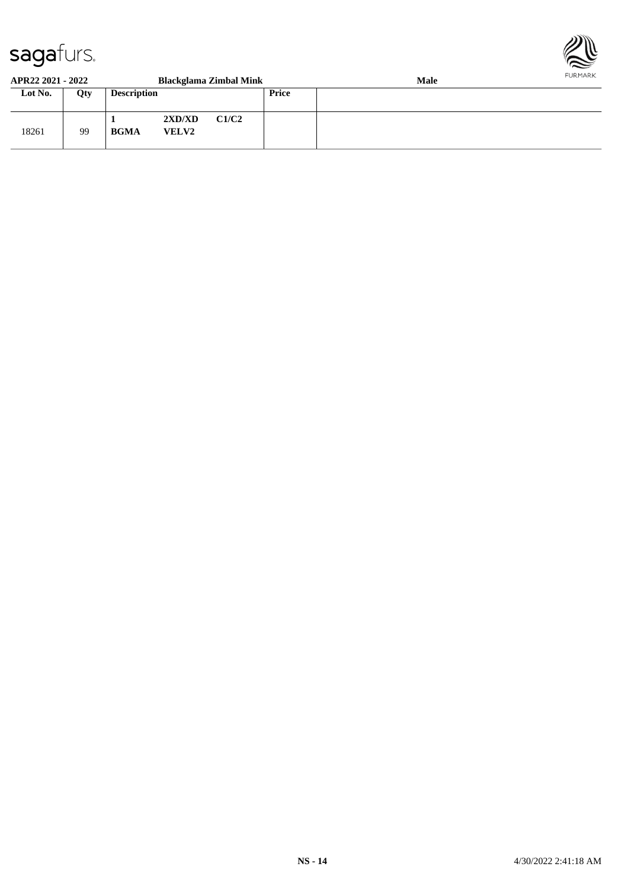

#### **APR22 2021 - 2022 Blackglama Zimbal Mink Male Lot No. Qty Description Price** 18261 | 99 **1 2XD/XD C1/C2 BGMA VELV2**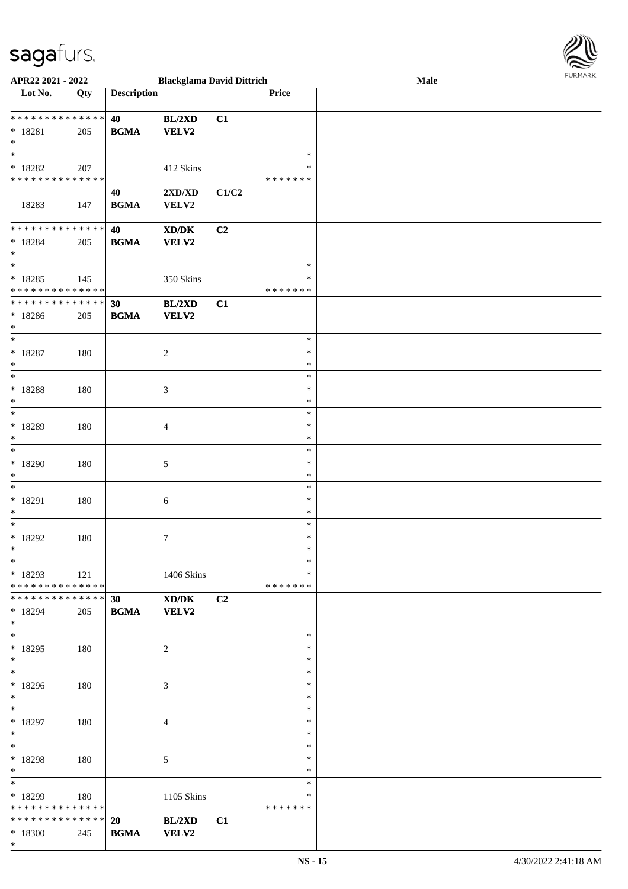| Lot No.                                                              | Qty | <b>Description</b> |                                                             |                | <b>Price</b>                      |  |
|----------------------------------------------------------------------|-----|--------------------|-------------------------------------------------------------|----------------|-----------------------------------|--|
| * * * * * * * * <mark>* * * * * *</mark><br>$* 18281$<br>$\ast$      | 205 | 40<br><b>BGMA</b>  | BL/2XD<br>VELV2                                             | C1             |                                   |  |
| $*18282$<br>* * * * * * * * * * * * * *                              | 207 |                    | 412 Skins                                                   |                | $\ast$<br>*<br>* * * * * * *      |  |
| 18283                                                                | 147 | 40<br><b>BGMA</b>  | 2XD/XD<br>VELV2                                             | C1/C2          |                                   |  |
| * * * * * * * * <mark>* * * * * * *</mark><br>$* 18284$<br>$\ast$    | 205 | 40<br><b>BGMA</b>  | XD/DK<br><b>VELV2</b>                                       | C <sub>2</sub> |                                   |  |
| $*$<br>$* 18285$<br>* * * * * * * * <mark>* * * * * * *</mark>       | 145 |                    | 350 Skins                                                   |                | $\ast$<br>$\ast$<br>* * * * * * * |  |
| * * * * * * * * <mark>* * * * * * *</mark><br>$*18286$<br>$*$        | 205 | 30<br><b>BGMA</b>  | BL/2XD<br><b>VELV2</b>                                      | C1             |                                   |  |
| $*$<br>$* 18287$<br>$*$                                              | 180 |                    | $\sqrt{2}$                                                  |                | $\ast$<br>$\ast$<br>$\ast$        |  |
| * 18288<br>$*$                                                       | 180 |                    | $\mathfrak{Z}$                                              |                | $\ast$<br>$\ast$<br>$\ast$        |  |
| * 18289<br>$\ast$                                                    | 180 |                    | $\overline{4}$                                              |                | $\ast$<br>$\ast$<br>$\ast$        |  |
| $\overline{\ast}$<br>$*18290$<br>$\ast$                              | 180 |                    | $\mathfrak{S}$                                              |                | $\ast$<br>$\ast$<br>$\ast$        |  |
| $* 18291$<br>$*$                                                     | 180 |                    | 6                                                           |                | $\ast$<br>$\ast$<br>$\ast$        |  |
| $\ast$<br>* 18292<br>$\ast$                                          | 180 |                    | $\tau$                                                      |                | $\ast$<br>$\ast$<br>$\ast$        |  |
| $\ddot{x}$<br>$*18293$<br>* * * * * * * * <mark>* * * * * * *</mark> | 121 |                    | 1406 Skins                                                  |                | $*$<br>$\ast$<br>* * * * * * *    |  |
| * * * * * * * * <mark>* * * * * * *</mark><br>$* 18294$<br>$\ast$    | 205 | 30<br><b>BGMA</b>  | $\mathbf{X}\mathbf{D}/\mathbf{D}\mathbf{K}$<br><b>VELV2</b> | C2             |                                   |  |
| $\ast$<br>$*18295$<br>$\ast$                                         | 180 |                    | $\overline{2}$                                              |                | $\ast$<br>$\ast$<br>$\ast$        |  |
| $*18296$<br>$\ast$                                                   | 180 |                    | 3                                                           |                | $\ast$<br>$\ast$<br>$\ast$        |  |
| $*$<br>* 18297<br>$*$                                                | 180 |                    | $\overline{4}$                                              |                | $\ast$<br>$\ast$<br>$\ast$        |  |
| $\ast$<br>* 18298<br>$\ast$                                          | 180 |                    | $5\,$                                                       |                | $\ast$<br>$\ast$<br>$\ast$        |  |
| $\ast$<br>* 18299<br>* * * * * * * * * * * * * *                     | 180 |                    | 1105 Skins                                                  |                | $\ast$<br>*<br>* * * * * * *      |  |
| * * * * * * * * <mark>* * * * * * *</mark><br>* 18300<br>$\ast$      | 245 | 20<br><b>BGMA</b>  | BL/2XD<br>VELV2                                             | C1             |                                   |  |

**APR22 2021 - 2022 Blackglama David Dittrich Male**

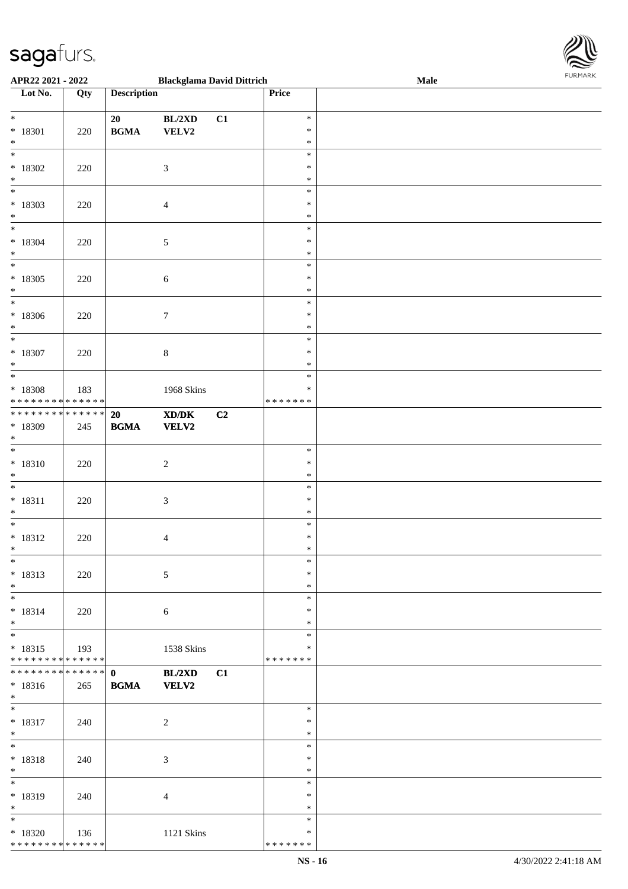

| APR22 2021 - 2022                         |     |                                            | <b>Blackglama David Dittrich</b>                                                                     |    |                         | Male | <b>FURMARK</b> |
|-------------------------------------------|-----|--------------------------------------------|------------------------------------------------------------------------------------------------------|----|-------------------------|------|----------------|
| $\overline{\phantom{1}}$ Lot No.          | Qty | <b>Description</b>                         |                                                                                                      |    | Price                   |      |                |
| $\ast$                                    |     | 20                                         | BL/2XD                                                                                               | C1 | $\ast$                  |      |                |
| $* 18301$<br>$\ast$                       | 220 | $\mathbf{B}\mathbf{G}\mathbf{M}\mathbf{A}$ | VELV2                                                                                                |    | $\ast$<br>$\ast$        |      |                |
| $\ast$                                    |     |                                            |                                                                                                      |    | $\ast$                  |      |                |
| $*18302$<br>$\ast$                        | 220 |                                            | $\mathfrak{Z}$                                                                                       |    | $\ast$<br>$\ast$        |      |                |
| $\overline{\ast}$                         |     |                                            |                                                                                                      |    | $\ast$                  |      |                |
| $*18303$<br>$\ast$                        | 220 |                                            | $\overline{4}$                                                                                       |    | ∗<br>$\ast$             |      |                |
| $\ast$                                    |     |                                            |                                                                                                      |    | $\ast$                  |      |                |
| $* 18304$<br>$\ast$                       | 220 |                                            | $\sqrt{5}$                                                                                           |    | $\ast$<br>$\ast$        |      |                |
| $\overline{\ast}$                         |     |                                            |                                                                                                      |    | $\ast$                  |      |                |
| $*18305$<br>$\ast$                        | 220 |                                            | $\sqrt{6}$                                                                                           |    | $\ast$<br>$\ast$        |      |                |
| $\ast$                                    |     |                                            |                                                                                                      |    | $\ast$                  |      |                |
| $*18306$<br>$\ast$                        | 220 |                                            | $\tau$                                                                                               |    | $\ast$<br>$\ast$        |      |                |
| $\ast$                                    |     |                                            |                                                                                                      |    | $\ast$                  |      |                |
| $* 18307$<br>$\ast$                       | 220 |                                            | $\,8\,$                                                                                              |    | $\ast$<br>$\ast$        |      |                |
| $\overline{\phantom{a}^*}$                |     |                                            |                                                                                                      |    | $\ast$                  |      |                |
| * 18308<br>* * * * * * * * * * * * * *    | 183 |                                            | 1968 Skins                                                                                           |    | $\ast$<br>* * * * * * * |      |                |
| ******** <mark>******</mark>              |     | 20                                         | $\boldsymbol{\text{X}}\boldsymbol{\text{D}}\boldsymbol{/}\boldsymbol{\text{D}}\boldsymbol{\text{K}}$ | C2 |                         |      |                |
| * 18309<br>$\ast$                         | 245 | $\mathbf{B}\mathbf{G}\mathbf{M}\mathbf{A}$ | <b>VELV2</b>                                                                                         |    |                         |      |                |
| $\overline{\phantom{a}^*}$                |     |                                            |                                                                                                      |    | $\ast$                  |      |                |
| $* 18310$<br>$\ast$                       | 220 |                                            | $\sqrt{2}$                                                                                           |    | $\ast$<br>$\ast$        |      |                |
| $\overline{\phantom{0}}$                  |     |                                            |                                                                                                      |    | $\ast$                  |      |                |
| $* 18311$<br>$\ast$                       | 220 |                                            | $\ensuremath{\mathfrak{Z}}$                                                                          |    | $\ast$<br>$\ast$        |      |                |
| $*$                                       |     |                                            |                                                                                                      |    | $\ast$<br>$\ast$        |      |                |
| $* 18312$<br>$\ast$                       | 220 |                                            | 4                                                                                                    |    | $\ast$                  |      |                |
| $\ast$<br>$* 18313$                       |     |                                            |                                                                                                      |    | $\ast$<br>$\ast$        |      |                |
| $\ast$                                    | 220 |                                            | $\sqrt{5}$                                                                                           |    | $\ast$                  |      |                |
| $\ast$<br>$* 18314$                       |     |                                            |                                                                                                      |    | $\ast$<br>$\ast$        |      |                |
| $\ast$                                    | 220 |                                            | 6                                                                                                    |    | $\ast$                  |      |                |
| $\overline{\phantom{0}}$<br>$* 18315$     | 193 |                                            | 1538 Skins                                                                                           |    | $\ast$<br>∗             |      |                |
| * * * * * * * * * * * * * *               |     |                                            |                                                                                                      |    | * * * * * * *           |      |                |
| ******** <mark>******</mark><br>$* 18316$ | 265 | $\mathbf{0}$<br><b>BGMA</b>                | BL/2XD<br><b>VELV2</b>                                                                               | C1 |                         |      |                |
| $*$                                       |     |                                            |                                                                                                      |    |                         |      |                |
| $*$<br>$* 18317$                          | 240 |                                            | $\sqrt{2}$                                                                                           |    | $\ast$<br>$\ast$        |      |                |
| $\ast$                                    |     |                                            |                                                                                                      |    | $\ast$                  |      |                |
| $\overline{\phantom{a}^*}$<br>$* 18318$   | 240 |                                            | $\mathfrak{Z}$                                                                                       |    | $\ast$<br>$\ast$        |      |                |
| $\ast$<br>$_{\ast}^{-}$                   |     |                                            |                                                                                                      |    | $\ast$                  |      |                |
| * 18319                                   | 240 |                                            | $\overline{4}$                                                                                       |    | $\ast$<br>$\ast$        |      |                |
| $\ast$                                    |     |                                            |                                                                                                      |    | $\ast$                  |      |                |
| $\ast$<br>$*18320$                        | 136 |                                            | 1121 Skins                                                                                           |    | $\ast$<br>∗             |      |                |
| * * * * * * * * * * * * * *               |     |                                            |                                                                                                      |    | * * * * * * *           |      |                |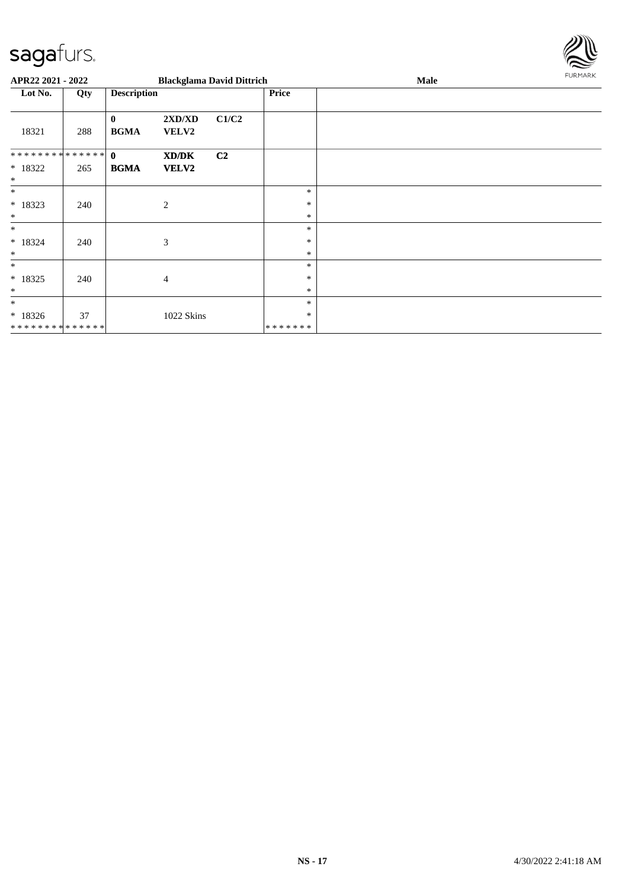

| APR22 2021 - 2022             |     |                             |                        | <b>Blackglama David Dittrich</b> |                  | Male | <b>FURMARK</b> |
|-------------------------------|-----|-----------------------------|------------------------|----------------------------------|------------------|------|----------------|
| Lot No.                       | Qty | <b>Description</b>          |                        |                                  | <b>Price</b>     |      |                |
| 18321                         | 288 | $\mathbf{0}$<br><b>BGMA</b> | 2XD/XD<br><b>VELV2</b> | C1/C2                            |                  |      |                |
| ************** 0              |     |                             | XD/DK                  | C2                               |                  |      |                |
| * 18322<br>$\ast$             | 265 | <b>BGMA</b>                 | <b>VELV2</b>           |                                  |                  |      |                |
| $\ast$                        |     |                             |                        |                                  | $\ast$           |      |                |
| $* 18323$                     | 240 |                             | 2                      |                                  | $\ast$           |      |                |
| $\ast$<br>$\ast$              |     |                             |                        |                                  | $\ast$<br>$\ast$ |      |                |
| * 18324                       | 240 |                             | 3                      |                                  | ∗                |      |                |
| $\ast$                        |     |                             |                        |                                  | $\ast$           |      |                |
| $\ast$                        |     |                             |                        |                                  | $\ast$           |      |                |
| $* 18325$                     | 240 |                             | $\overline{4}$         |                                  | $\ast$           |      |                |
| $\ast$                        |     |                             |                        |                                  | $\ast$           |      |                |
| $\ast$                        |     |                             |                        |                                  | $\ast$           |      |                |
| $* 18326$                     | 37  |                             | 1022 Skins             |                                  | ∗                |      |                |
| * * * * * * * * * * * * * * * |     |                             |                        |                                  | *******          |      |                |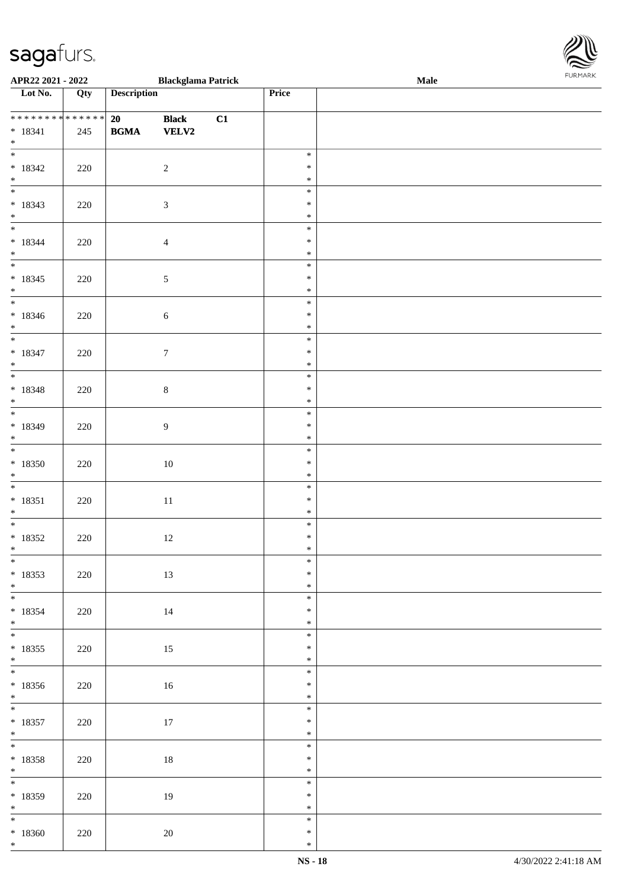\*

| APR22 2021 - 2022                                                                  |     |                                                  | <b>Blackglama Patrick</b>    |    |                            | <b>FURMARK</b><br>Male |  |  |  |
|------------------------------------------------------------------------------------|-----|--------------------------------------------------|------------------------------|----|----------------------------|------------------------|--|--|--|
| $\overline{\phantom{1}}$ Lot No.                                                   | Qty | <b>Description</b>                               |                              |    | Price                      |                        |  |  |  |
| **************<br>$* 18341$                                                        | 245 | 20<br>$\mathbf{B}\mathbf{G}\mathbf{M}\mathbf{A}$ | <b>Black</b><br><b>VELV2</b> | C1 |                            |                        |  |  |  |
| $*$   $*$<br>$* 18342$<br>$\ast$                                                   | 220 |                                                  | $\sqrt{2}$                   |    | $\ast$<br>$\ast$<br>$\ast$ |                        |  |  |  |
| $\overline{\phantom{a}}$<br>$* 18343$<br>$*$                                       | 220 |                                                  | $\sqrt{3}$                   |    | $\ast$<br>$\ast$<br>$\ast$ |                        |  |  |  |
| $\overline{\ast}$<br>$* 18344$<br>$\ast$                                           | 220 |                                                  | $\overline{4}$               |    | $\ast$<br>$\ast$<br>$\ast$ |                        |  |  |  |
| $_{\ast}^{-}$<br>$* 18345$<br>$\ast$                                               | 220 |                                                  | $\sqrt{5}$                   |    | $\ast$<br>$\ast$<br>$\ast$ |                        |  |  |  |
| $\overline{\phantom{0}}$<br>$* 18346$<br>$\ast$                                    | 220 |                                                  | $\sqrt{6}$                   |    | $\ast$<br>$\ast$<br>$\ast$ |                        |  |  |  |
| $\overline{\phantom{a}^*}$<br>$* 18347$<br>$\ast$                                  | 220 |                                                  | $\boldsymbol{7}$             |    | $\ast$<br>$\ast$<br>$\ast$ |                        |  |  |  |
| $\overline{\phantom{0}}$<br>$* 18348$<br>$\ast$                                    | 220 |                                                  | $\,8\,$                      |    | $\ast$<br>$\ast$<br>$\ast$ |                        |  |  |  |
| $\overline{\phantom{0}}$<br>$* 18349$<br>$\ast$                                    | 220 |                                                  | $\overline{9}$               |    | $\ast$<br>$\ast$<br>$\ast$ |                        |  |  |  |
| $_{*}$<br>$*18350$<br>$\ast$                                                       | 220 |                                                  | $10\,$                       |    | $\ast$<br>$\ast$<br>$\ast$ |                        |  |  |  |
| $\overline{\phantom{a}^*}$<br>$* 18351$<br>$\ast$                                  | 220 |                                                  | $11\,$                       |    | $\ast$<br>$\ast$<br>$\ast$ |                        |  |  |  |
| $\overline{\phantom{0}}$<br>$* 18352$<br>$\ast$                                    | 220 |                                                  | 12                           |    | $\ast$<br>$\ast$<br>$\ast$ |                        |  |  |  |
| $\overline{\ast}$<br>$* 18353$                                                     | 220 |                                                  | 13                           |    | $\ast$<br>$\ast$<br>$\ast$ |                        |  |  |  |
| $\begin{array}{c} * \\ * \\ * \end{array}$<br>$* 18354$<br>$*$                     | 220 |                                                  | $14\,$                       |    | $\ast$<br>$\ast$<br>$\ast$ |                        |  |  |  |
| $*18355$<br>$*$                                                                    | 220 |                                                  | $15\,$                       |    | $\ast$<br>$\ast$<br>$\ast$ |                        |  |  |  |
| $\overline{\phantom{0}}$<br>$*18356$<br>$\begin{array}{c} * \\ * \\ * \end{array}$ | 220 |                                                  | $16\,$                       |    | $\ast$<br>$\ast$<br>$\ast$ |                        |  |  |  |
| $* 18357$<br>$*$                                                                   | 220 |                                                  | $17\,$                       |    | $\ast$<br>$\ast$<br>$\ast$ |                        |  |  |  |
| $\frac{1}{*}$<br>$* 18358$<br>$*$                                                  | 220 |                                                  | 18                           |    | $\ast$<br>$\ast$<br>$\ast$ |                        |  |  |  |
| $\overline{\phantom{0}}$<br>$* 18359$<br>$*$ $*$                                   | 220 |                                                  | 19                           |    | $\ast$<br>$\ast$<br>$\ast$ |                        |  |  |  |
| $*18360$                                                                           | 220 |                                                  | $20\,$                       |    | $\ast$<br>$\ast$           |                        |  |  |  |

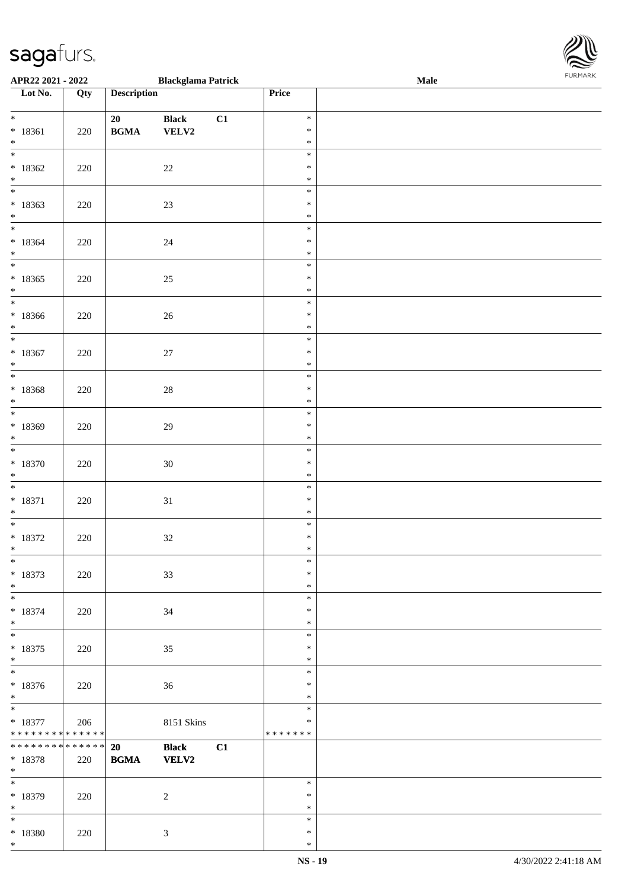\*

| APR22 2021 - 2022                          |     |                                            | <b>Blackglama Patrick</b> |    |                  | <b>Male</b> |  |
|--------------------------------------------|-----|--------------------------------------------|---------------------------|----|------------------|-------------|--|
| Lot No.                                    | Qty | <b>Description</b>                         |                           |    | Price            |             |  |
|                                            |     |                                            |                           |    |                  |             |  |
| $*$                                        |     | 20                                         | <b>Black</b>              | C1 | $\ast$           |             |  |
| $* 18361$                                  | 220 | $\mathbf{B}\mathbf{G}\mathbf{M}\mathbf{A}$ | <b>VELV2</b>              |    | $\ast$           |             |  |
| $*$                                        |     |                                            |                           |    | $\ast$           |             |  |
|                                            |     |                                            |                           |    | $\ast$           |             |  |
| $*18362$                                   | 220 |                                            | $22\,$                    |    | $\ast$           |             |  |
| $*$                                        |     |                                            |                           |    | $\ast$           |             |  |
|                                            |     |                                            |                           |    | $\ast$           |             |  |
| $*18363$                                   | 220 |                                            | 23                        |    | $\ast$           |             |  |
| $\ast$                                     |     |                                            |                           |    | $\ast$           |             |  |
| $*$                                        |     |                                            |                           |    | $\ast$           |             |  |
| $*18364$                                   | 220 |                                            | 24                        |    | $\ast$           |             |  |
| $*$<br>$\overline{\ast}$                   |     |                                            |                           |    | $\ast$           |             |  |
|                                            |     |                                            |                           |    | $\ast$           |             |  |
| $*18365$                                   | 220 |                                            | 25                        |    | $\ast$           |             |  |
| $*$                                        |     |                                            |                           |    | $\ast$           |             |  |
|                                            |     |                                            |                           |    | $\ast$           |             |  |
| $*18366$<br>$\ast$                         | 220 |                                            | $26\,$                    |    | $\ast$<br>$\ast$ |             |  |
| $\overline{\ast}$                          |     |                                            |                           |    | $\ast$           |             |  |
|                                            |     |                                            |                           |    | $\ast$           |             |  |
| $*18367$<br>$\ast$                         | 220 |                                            | 27                        |    | $\ast$           |             |  |
| $\overline{\phantom{0}}$                   |     |                                            |                           |    | $\ast$           |             |  |
| $*18368$                                   | 220 |                                            | $28\,$                    |    | $\ast$           |             |  |
| $\ast$                                     |     |                                            |                           |    | $\ast$           |             |  |
|                                            |     |                                            |                           |    | $\ast$           |             |  |
| $*18369$                                   | 220 |                                            | 29                        |    | $\ast$           |             |  |
| $\ast$                                     |     |                                            |                           |    | $\ast$           |             |  |
| $*$                                        |     |                                            |                           |    | $\ast$           |             |  |
| $*18370$                                   | 220 |                                            | $30\,$                    |    | $\ast$           |             |  |
| $*$                                        |     |                                            |                           |    | $\ast$           |             |  |
| $\overline{\ast}$                          |     |                                            |                           |    | $\ast$           |             |  |
| $* 18371$                                  | 220 |                                            | 31                        |    | $\ast$           |             |  |
| $*$                                        |     |                                            |                           |    | $\ast$           |             |  |
|                                            |     |                                            |                           |    | $\ast$           |             |  |
| $*18372$                                   | 220 |                                            | $32\,$                    |    | $\ast$           |             |  |
| $\ast$                                     |     |                                            |                           |    | $\ast$           |             |  |
| $\ast$                                     |     |                                            |                           |    | $\ast$           |             |  |
| $* 18373$                                  | 220 |                                            | 33                        |    | $\ast$           |             |  |
| $*$                                        |     |                                            |                           |    | $\ast$           |             |  |
|                                            |     |                                            |                           |    | $\ast$<br>*      |             |  |
| $*18374$<br>$\ast$                         | 220 |                                            | 34                        |    | $\ast$           |             |  |
| $\overline{\phantom{0}}$                   |     |                                            |                           |    | $\ast$           |             |  |
| $* 18375$                                  | 220 |                                            | 35                        |    | $\ast$           |             |  |
| $*$                                        |     |                                            |                           |    | $\ast$           |             |  |
| $*$                                        |     |                                            |                           |    | $\ast$           |             |  |
| $*18376$                                   | 220 |                                            | 36                        |    | $\ast$           |             |  |
| $*$                                        |     |                                            |                           |    | $\ast$           |             |  |
| $\ast$                                     |     |                                            |                           |    | $\ast$           |             |  |
| $*18377$                                   | 206 |                                            | 8151 Skins                |    | $\ast$           |             |  |
| * * * * * * * * <mark>* * * * * *</mark>   |     |                                            |                           |    | *******          |             |  |
| * * * * * * * * <mark>* * * * * * *</mark> |     | 20                                         | <b>Black</b>              | C1 |                  |             |  |
| * 18378                                    | 220 | <b>BGMA</b>                                | <b>VELV2</b>              |    |                  |             |  |
| $*$                                        |     |                                            |                           |    |                  |             |  |
|                                            |     |                                            |                           |    | $\ast$           |             |  |
| * 18379                                    | 220 |                                            | 2                         |    | $\ast$           |             |  |
| $*$<br>$\ast$                              |     |                                            |                           |    | $\ast$<br>$\ast$ |             |  |
| * 18380                                    | 220 |                                            | $\mathfrak{Z}$            |    | $\ast$           |             |  |
|                                            |     |                                            |                           |    |                  |             |  |

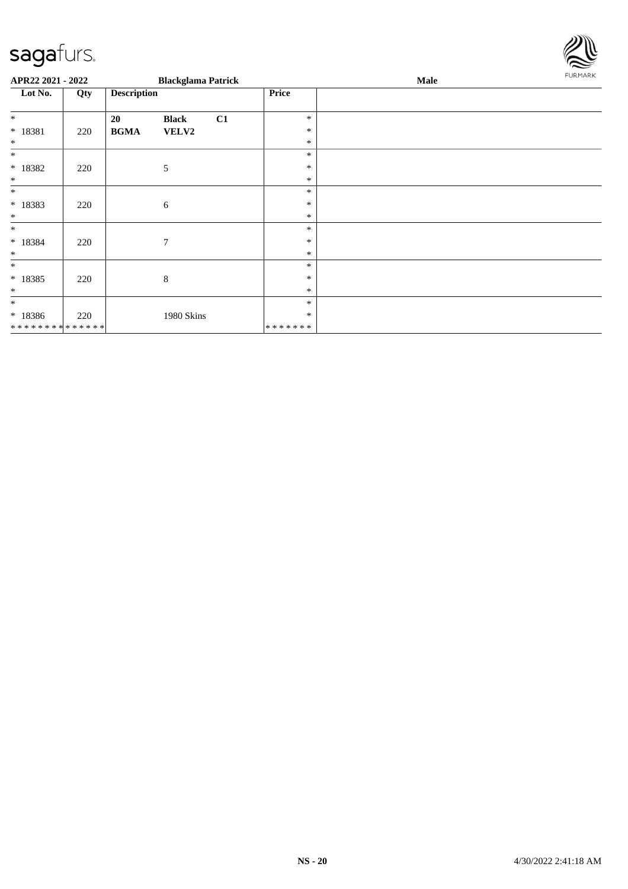

| APR22 2021 - 2022                                    |     |                    | <b>Blackglama Patrick</b> |    |                                   | Male | <b>FURMARK</b> |
|------------------------------------------------------|-----|--------------------|---------------------------|----|-----------------------------------|------|----------------|
| Lot No.                                              | Qty | <b>Description</b> |                           |    | Price                             |      |                |
| $\ast$<br>* 18381<br>$\ast$                          | 220 | 20<br><b>BGMA</b>  | <b>Black</b><br>VELV2     | C1 | $\ast$<br>$\ast$<br>$\ast$        |      |                |
| $\ast$<br>$*18382$<br>$\ast$                         | 220 |                    | 5                         |    | $\ast$<br>$\ast$<br>$\ast$        |      |                |
| $\ast$<br>* 18383<br>$\ast$                          | 220 |                    | 6                         |    | $\ast$<br>∗<br>$\ast$             |      |                |
| $\ast$<br>$* 18384$<br>$\ast$                        | 220 |                    | $\overline{7}$            |    | $\ast$<br>$\ast$<br>$\ast$        |      |                |
| $\ast$<br>$* 18385$<br>$\ast$                        | 220 |                    | $\,8\,$                   |    | $\ast$<br>$\ast$<br>$\ast$        |      |                |
| $\ast$<br>$* 18386$<br>* * * * * * * * * * * * * * * | 220 |                    | 1980 Skins                |    | $\ast$<br>$\ast$<br>* * * * * * * |      |                |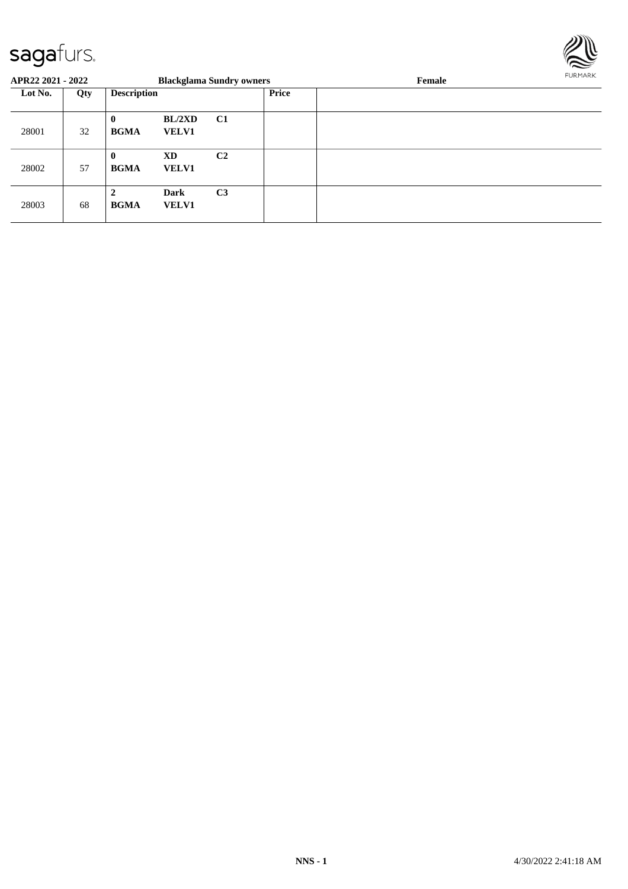

| APR22 2021 - 2022 |     |                               |                             | <b>Blackglama Sundry owners</b> |              | Female | FURMARK |
|-------------------|-----|-------------------------------|-----------------------------|---------------------------------|--------------|--------|---------|
| Lot No.           | Qty | <b>Description</b>            |                             |                                 | <b>Price</b> |        |         |
| 28001             | 32  | $\bf{0}$<br><b>BGMA</b>       | BL/2XD<br><b>VELV1</b>      | <b>C1</b>                       |              |        |         |
| 28002             | 57  | $\bf{0}$<br><b>BGMA</b>       | XD<br><b>VELV1</b>          | C <sub>2</sub>                  |              |        |         |
| 28003             | 68  | $\overline{2}$<br><b>BGMA</b> | <b>Dark</b><br><b>VELV1</b> | C <sub>3</sub>                  |              |        |         |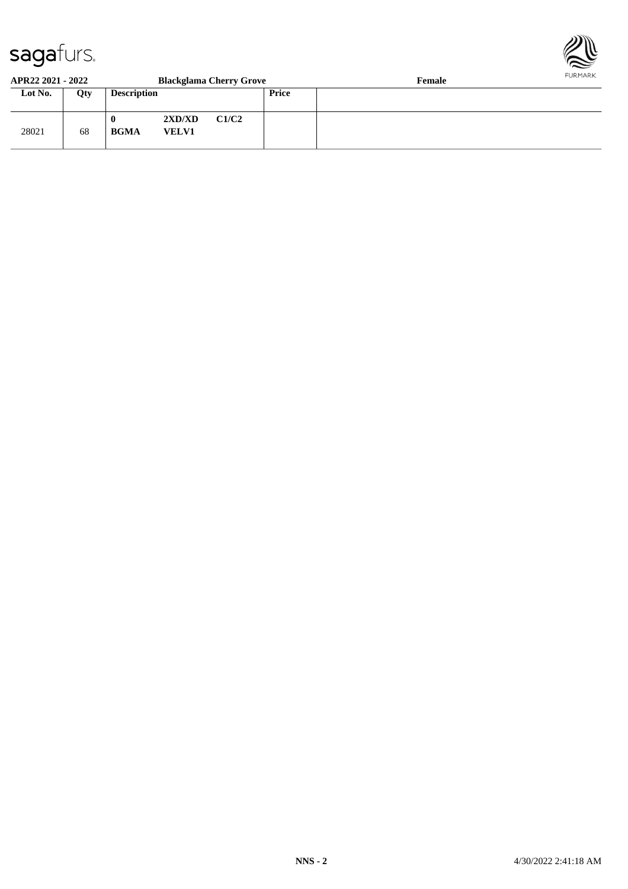

#### **APR22 2021 - 2022 Blackglama Cherry Grove Female Lot No. Qty Description Price** 28021 68 **0 2XD/XD C1/C2 BGMA VELV1**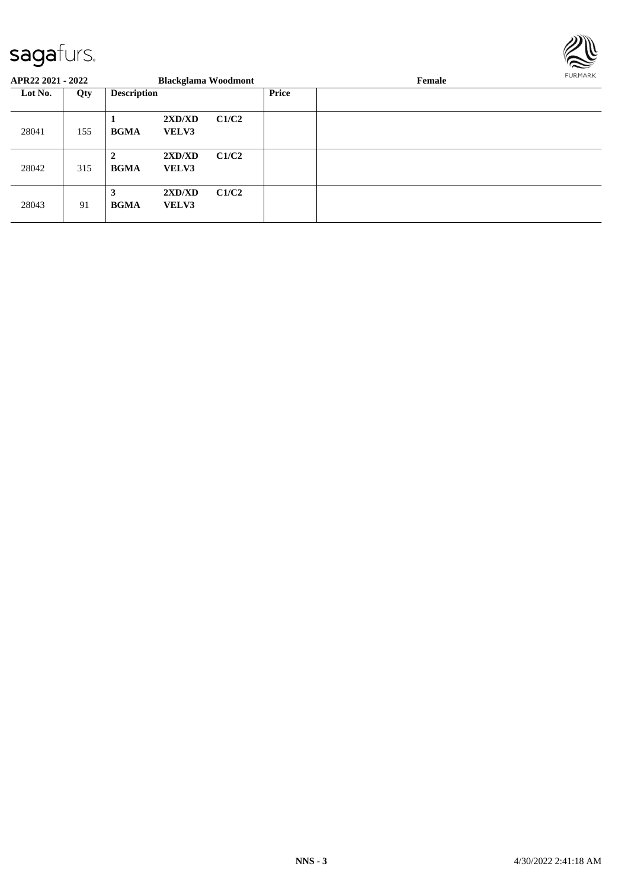

| APR22 2021 - 2022 |     |                    |                        | <b>Blackglama Woodmont</b> |              | Female | FURMARK |  |
|-------------------|-----|--------------------|------------------------|----------------------------|--------------|--------|---------|--|
| Lot No.           | Qty | <b>Description</b> |                        |                            | <b>Price</b> |        |         |  |
| 28041             | 155 | <b>BGMA</b>        | 2XD/XD<br><b>VELV3</b> | C1/C2                      |              |        |         |  |
| 28042             | 315 | 2<br><b>BGMA</b>   | 2XD/XD<br><b>VELV3</b> | C1/C2                      |              |        |         |  |
| 28043             | 91  | 3<br><b>BGMA</b>   | 2XD/XD<br><b>VELV3</b> | C1/C2                      |              |        |         |  |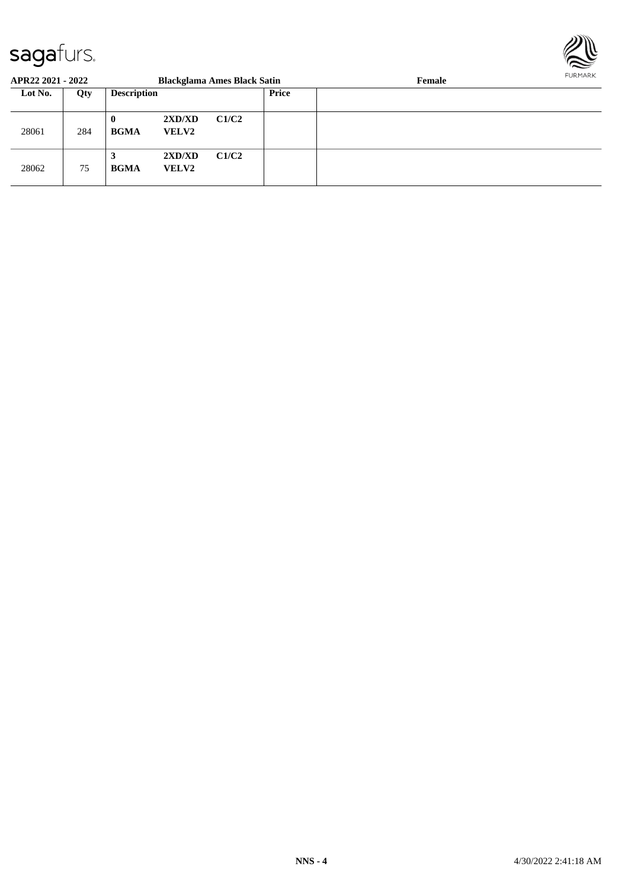

| APR22 2021 - 2022 |     |                         |                        | <b>Blackglama Ames Black Satin</b> |       | <b>FURPIARR</b><br>Female |  |
|-------------------|-----|-------------------------|------------------------|------------------------------------|-------|---------------------------|--|
| Lot No.           | Qty | <b>Description</b>      |                        |                                    | Price |                           |  |
| 28061             | 284 | $\bf{0}$<br><b>BGMA</b> | 2XD/XD<br><b>VELV2</b> | C1/C2                              |       |                           |  |
| 28062             | 75  | 3<br><b>BGMA</b>        | 2XD/XD<br><b>VELV2</b> | C1/C2                              |       |                           |  |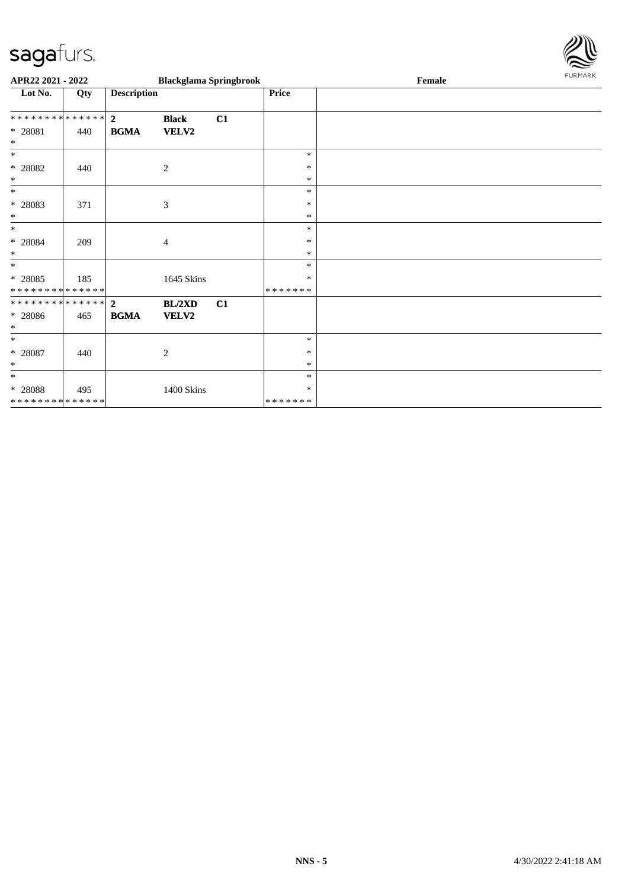

| APR22 2021 - 2022                                  |     |                               |                              | <b>Blackglama Springbrook</b> |                              | Female | FURMARK |
|----------------------------------------------------|-----|-------------------------------|------------------------------|-------------------------------|------------------------------|--------|---------|
| Lot No.                                            | Qty | <b>Description</b>            |                              |                               | Price                        |        |         |
| **************<br>* 28081<br>$\ast$                | 440 | $\overline{2}$<br><b>BGMA</b> | <b>Black</b><br><b>VELV2</b> | C1                            |                              |        |         |
| $\ast$<br>$*$ 28082<br>$\ast$                      | 440 |                               | 2                            |                               | $\ast$<br>$\ast$<br>$\ast$   |        |         |
| $\ast$<br>* 28083<br>$\ast$                        | 371 |                               | $\boldsymbol{\mathfrak{Z}}$  |                               | $\ast$<br>$\ast$<br>$\ast$   |        |         |
| $\ast$<br>$* 28084$<br>$\ast$                      | 209 |                               | $\overline{4}$               |                               | $\ast$<br>$\ast$<br>$\ast$   |        |         |
| $\ast$<br>$* 28085$<br>* * * * * * * * * * * * * * | 185 |                               | 1645 Skins                   |                               | $\ast$<br>*<br>* * * * * * * |        |         |
| * * * * * * * * * * * * * * *<br>* 28086<br>$\ast$ | 465 | $\mathbf{2}$<br><b>BGMA</b>   | BL/2XD<br>VELV2              | C1                            |                              |        |         |
| $\ast$<br>$* 28087$<br>$\ast$                      | 440 |                               | $\mathbf{2}$                 |                               | *<br>$\ast$<br>$\ast$        |        |         |
| $\ast$<br>$*$ 28088<br>* * * * * * * * * * * * * * | 495 |                               | 1400 Skins                   |                               | $\ast$<br>*<br>* * * * * * * |        |         |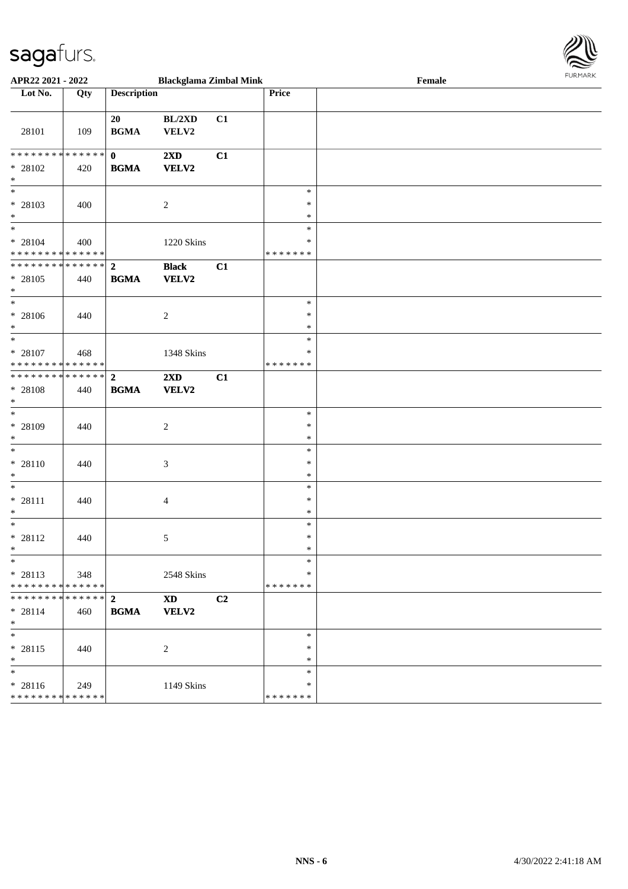

| APR22 2021 - 2022                                                          |       |                                        | <b>Blackglama Zimbal Mink</b>           |                |                              | Female |  |
|----------------------------------------------------------------------------|-------|----------------------------------------|-----------------------------------------|----------------|------------------------------|--------|--|
| Lot No.                                                                    | Qty   | <b>Description</b>                     |                                         |                | Price                        |        |  |
| 28101                                                                      | 109   | 20<br><b>BGMA</b>                      | BL/2XD<br>VELV2                         | C1             |                              |        |  |
| * * * * * * * * <mark>* * * * * * *</mark><br>* 28102<br>$\ast$            | 420   | $\mathbf{0}$<br><b>BGMA</b>            | 2XD<br><b>VELV2</b>                     | C1             |                              |        |  |
| * 28103<br>$*$                                                             | 400   |                                        | $\overline{c}$                          |                | $\ast$<br>$\ast$<br>$\ast$   |        |  |
| * 28104<br>* * * * * * * * * * * * * * *                                   | 400   |                                        | 1220 Skins                              |                | $\ast$<br>*<br>* * * * * * * |        |  |
| * * * * * * * * <mark>* * * * * * *</mark><br>$* 28105$<br>$*$             | 440   | $\overline{2}$<br><b>BGMA</b>          | <b>Black</b><br><b>VELV2</b>            | C1             |                              |        |  |
| $*$<br>* 28106<br>$*$                                                      | 440   |                                        | $\overline{c}$                          |                | $\ast$<br>$\ast$<br>$\ast$   |        |  |
| $\overline{\ast}$<br>* 28107<br>* * * * * * * * <mark>* * * * * * *</mark> | 468   |                                        | 1348 Skins                              |                | $\ast$<br>*<br>* * * * * * * |        |  |
| ___<br>******** <mark>******</mark><br>* 28108<br>$*$                      | 440   | $\overline{\mathbf{2}}$<br><b>BGMA</b> | $2\mathbf{X}\mathbf{D}$<br><b>VELV2</b> | C1             |                              |        |  |
| * 28109<br>$\ast$                                                          | 440   |                                        | 2                                       |                | $\ast$<br>∗<br>$\ast$        |        |  |
| $\ast$<br>* 28110<br>$\ast$                                                | 440   |                                        | 3                                       |                | $\ast$<br>$\ast$<br>$\ast$   |        |  |
| $*$<br>* 28111<br>$*$                                                      | 440   |                                        | $\overline{4}$                          |                | $\ast$<br>$\ast$<br>$\ast$   |        |  |
| $*$<br>$* 28112$<br>$*$ $-$                                                | 440   |                                        | 5                                       |                | $\ast$<br>$\ast$<br>$\ast$   |        |  |
| $*$<br>* 28113<br>* * * * * * * * * * * * * * <mark>*</mark>               | 348   |                                        | 2548 Skins                              |                | $\ast$<br>∗<br>*******       |        |  |
| $* 28114$<br>$\ast$                                                        | 460   | <b>BGMA</b>                            | $\mathbf{X}\mathbf{D}$<br><b>VELV2</b>  | C <sub>2</sub> |                              |        |  |
| $*$<br>* 28115<br>$*$                                                      | - 440 |                                        | 2                                       |                | $\ast$<br>$\ast$<br>$\ast$   |        |  |
| $*$<br>* 28116<br>* * * * * * * * <mark>* * * * * * *</mark>               | 249   |                                        | 1149 Skins                              |                | $\ast$<br>*<br>* * * * * * * |        |  |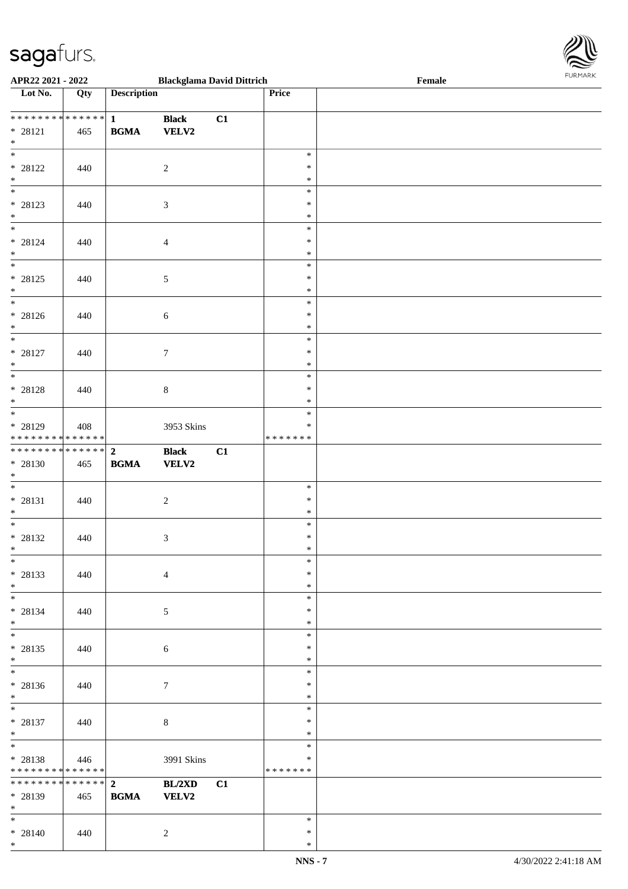\*



| APR22 2021 - 2022                                     |     |                    | <b>Blackglama David Dittrich</b> |    |                         | Female |  |
|-------------------------------------------------------|-----|--------------------|----------------------------------|----|-------------------------|--------|--|
| Lot No.                                               | Qty | <b>Description</b> |                                  |    | Price                   |        |  |
|                                                       |     |                    |                                  |    |                         |        |  |
| ************* <mark>1</mark>                          |     |                    | <b>Black</b>                     | C1 |                         |        |  |
| * 28121                                               | 465 | <b>BGMA</b>        | <b>VELV2</b>                     |    |                         |        |  |
| $\ast$                                                |     |                    |                                  |    |                         |        |  |
| $\overline{\ast}$                                     |     |                    |                                  |    | $\ast$                  |        |  |
| * 28122                                               | 440 |                    | $\overline{c}$                   |    | $\ast$                  |        |  |
| $\ast$                                                |     |                    |                                  |    | $\ast$                  |        |  |
| $\overline{\phantom{0}}$                              |     |                    |                                  |    | $\ast$                  |        |  |
| * 28123                                               | 440 |                    | $\mathfrak{Z}$                   |    | $\ast$                  |        |  |
| $\ast$                                                |     |                    |                                  |    | $\ast$                  |        |  |
| $*$                                                   |     |                    |                                  |    | $\ast$                  |        |  |
| $* 28124$                                             | 440 |                    | $\overline{4}$                   |    | $\ast$                  |        |  |
| $*$                                                   |     |                    |                                  |    | $\ast$                  |        |  |
| $\overline{\ast}$                                     |     |                    |                                  |    | $\ast$                  |        |  |
| $* 28125$                                             | 440 |                    | $\sqrt{5}$                       |    | $\ast$                  |        |  |
| $\ast$                                                |     |                    |                                  |    | $\ast$                  |        |  |
| $\overline{\ }$                                       |     |                    |                                  |    | $\ast$                  |        |  |
| $* 28126$                                             | 440 |                    | $\sqrt{6}$                       |    | $\ast$                  |        |  |
| $*$                                                   |     |                    |                                  |    | $\ast$                  |        |  |
| $\overline{\ast}$                                     |     |                    |                                  |    | $\ast$                  |        |  |
| * 28127                                               | 440 |                    | $\tau$                           |    | $\ast$                  |        |  |
| $\ast$<br>$\overline{\mathbf{r}}$                     |     |                    |                                  |    | $\ast$                  |        |  |
|                                                       |     |                    |                                  |    | $\ast$                  |        |  |
| * 28128                                               | 440 |                    | $8\,$                            |    | $\ast$                  |        |  |
| $\ast$                                                |     |                    |                                  |    | $\ast$                  |        |  |
|                                                       |     |                    |                                  |    | $\ast$                  |        |  |
| * 28129<br>* * * * * * * * <mark>* * * * * * *</mark> | 408 |                    | 3953 Skins                       |    | $\ast$<br>* * * * * * * |        |  |
| ******** <mark>******</mark> 2                        |     |                    |                                  |    |                         |        |  |
| * 28130                                               |     | <b>BGMA</b>        | <b>Black</b><br><b>VELV2</b>     | C1 |                         |        |  |
| $*$                                                   | 465 |                    |                                  |    |                         |        |  |
| $*$                                                   |     |                    |                                  |    | $\ast$                  |        |  |
| * 28131                                               | 440 |                    | $\sqrt{2}$                       |    | $\ast$                  |        |  |
| $\ast$                                                |     |                    |                                  |    | $\ast$                  |        |  |
| $*$                                                   |     |                    |                                  |    | $\ast$                  |        |  |
| * 28132                                               | 440 |                    | 3                                |    | $\ast$                  |        |  |
| $\ast$                                                |     |                    |                                  |    | $\ast$                  |        |  |
| $\ast$                                                |     |                    |                                  |    | $\ast$                  |        |  |
| * 28133                                               | 440 |                    | $\overline{4}$                   |    | $\ast$                  |        |  |
| $*$                                                   |     |                    |                                  |    | $\ast$                  |        |  |
| $*$ $-$                                               |     |                    |                                  |    | $\ast$                  |        |  |
| * 28134                                               | 440 |                    | 5                                |    | $\ast$                  |        |  |
| $\ast$                                                |     |                    |                                  |    | $\ast$                  |        |  |
| $*$                                                   |     |                    |                                  |    | $\ast$                  |        |  |
| * 28135                                               | 440 |                    | $\sqrt{6}$                       |    | $\ast$                  |        |  |
| $*$                                                   |     |                    |                                  |    | $\ast$                  |        |  |
| $*$                                                   |     |                    |                                  |    | $\ast$                  |        |  |
| * 28136                                               | 440 |                    | $\tau$                           |    | $\ast$                  |        |  |
| $*$                                                   |     |                    |                                  |    | $\ast$                  |        |  |
| $\ddot{x}$                                            |     |                    |                                  |    | $\ast$                  |        |  |
| $* 28137$                                             | 440 |                    | $8\,$                            |    | $\ast$                  |        |  |
| $*$                                                   |     |                    |                                  |    | $\ast$                  |        |  |
| $*$                                                   |     |                    |                                  |    | $\ast$                  |        |  |
| $* 28138$                                             | 446 |                    | 3991 Skins                       |    | $\ast$                  |        |  |
| * * * * * * * * <mark>* * * * * *</mark>              |     |                    |                                  |    | *******                 |        |  |
|                                                       |     |                    | BL/2XD                           | C1 |                         |        |  |
| * 28139                                               | 465 | <b>BGMA</b>        | <b>VELV2</b>                     |    |                         |        |  |
| $*$                                                   |     |                    |                                  |    |                         |        |  |
| $\ast$                                                |     |                    |                                  |    | $\ast$                  |        |  |
| $* 28140$                                             | 440 |                    | $\overline{2}$                   |    | $\ast$                  |        |  |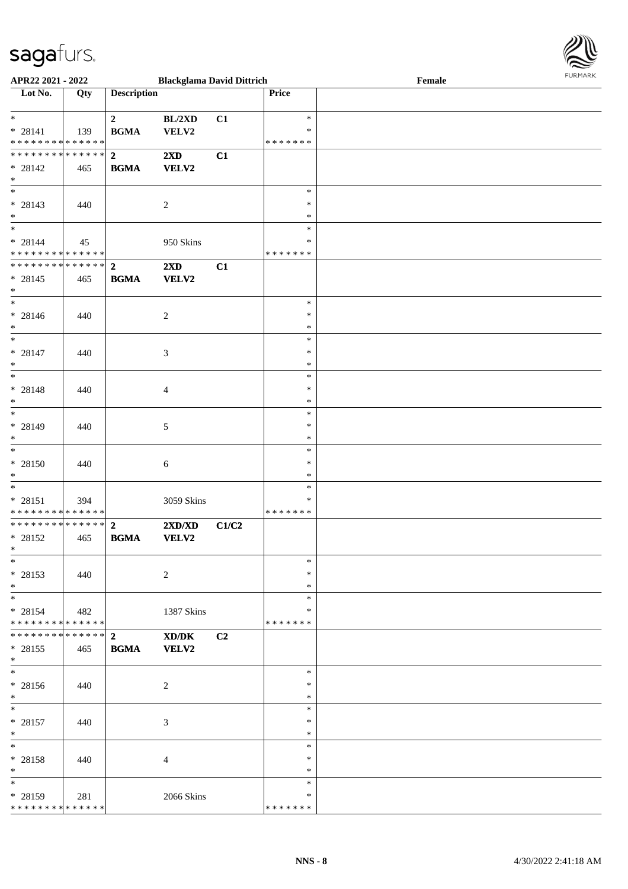

| APR22 2021 - 2022             |     |                         | <b>Blackglama David Dittrich</b> |       |               | Female |
|-------------------------------|-----|-------------------------|----------------------------------|-------|---------------|--------|
| Lot No.                       | Qty | <b>Description</b>      |                                  |       | Price         |        |
|                               |     |                         |                                  |       |               |        |
| $\ast$                        |     | $\mathbf{2}$            | BL/2XD                           | C1    | $\ast$        |        |
| $* 28141$                     | 139 | <b>BGMA</b>             | VELV2                            |       | ∗             |        |
| * * * * * * * * * * * * * *   |     |                         |                                  |       | *******       |        |
|                               |     |                         |                                  |       |               |        |
| * * * * * * * * * * * * * * * |     | $\overline{\mathbf{2}}$ | 2XD                              | C1    |               |        |
| * 28142                       | 465 | <b>BGMA</b>             | VELV2                            |       |               |        |
| $*$                           |     |                         |                                  |       |               |        |
| $\overline{\phantom{0}}$      |     |                         |                                  |       | $\ast$        |        |
| * 28143                       | 440 |                         | 2                                |       | $\ast$        |        |
|                               |     |                         |                                  |       |               |        |
| $*$                           |     |                         |                                  |       | $\ast$        |        |
| $*$                           |     |                         |                                  |       | $\ast$        |        |
| $* 28144$                     | 45  |                         | 950 Skins                        |       | $\ast$        |        |
| * * * * * * * * * * * * * * * |     |                         |                                  |       | *******       |        |
| ******** <mark>******</mark>  |     | $\overline{2}$          | 2XD                              | C1    |               |        |
|                               |     |                         |                                  |       |               |        |
| * 28145                       | 465 | <b>BGMA</b>             | <b>VELV2</b>                     |       |               |        |
| $*$                           |     |                         |                                  |       |               |        |
| $*$                           |     |                         |                                  |       | $\ast$        |        |
| * 28146                       | 440 |                         | $\overline{c}$                   |       | $\ast$        |        |
| $*$                           |     |                         |                                  |       | $\ast$        |        |
| $\ast$                        |     |                         |                                  |       | $\ast$        |        |
|                               |     |                         |                                  |       |               |        |
| * 28147                       | 440 |                         | 3                                |       | $\ast$        |        |
| $*$                           |     |                         |                                  |       | $\ast$        |        |
| $*$                           |     |                         |                                  |       | $\ast$        |        |
| * 28148                       | 440 |                         | $\overline{4}$                   |       | $\ast$        |        |
| $\ast$                        |     |                         |                                  |       | $\ast$        |        |
| $*$                           |     |                         |                                  |       |               |        |
|                               |     |                         |                                  |       | $\ast$        |        |
| * 28149                       | 440 |                         | 5                                |       | $\ast$        |        |
| $*$                           |     |                         |                                  |       | $\ast$        |        |
| $\ast$                        |     |                         |                                  |       | $\ast$        |        |
| $* 28150$                     | 440 |                         | 6                                |       | $\ast$        |        |
| $*$                           |     |                         |                                  |       | $\ast$        |        |
|                               |     |                         |                                  |       |               |        |
| $*$                           |     |                         |                                  |       | $\ast$        |        |
| $* 28151$                     | 394 |                         | 3059 Skins                       |       | $\ast$        |        |
| * * * * * * * * * * * * * *   |     |                         |                                  |       | *******       |        |
| * * * * * * * * * * * * * * * |     | $\overline{2}$          | $2{\bf X}{\bf D}/{\bf X}{\bf D}$ | C1/C2 |               |        |
| * 28152                       | 465 | <b>BGMA</b>             | <b>VELV2</b>                     |       |               |        |
| $*$                           |     |                         |                                  |       |               |        |
|                               |     |                         |                                  |       |               |        |
| $*$                           |     |                         |                                  |       | $\ast$        |        |
| * 28153                       | 440 |                         | 2                                |       | $\ast$        |        |
| $*$                           |     |                         |                                  |       | $\ast$        |        |
| $*$                           |     |                         |                                  |       | $\ast$        |        |
| * 28154                       | 482 |                         | 1387 Skins                       |       | ∗             |        |
| * * * * * * * * * * * * * * * |     |                         |                                  |       | * * * * * * * |        |
|                               |     |                         |                                  |       |               |        |
| * * * * * * * * * * * * * * * |     | $\overline{2}$          | XD/DK                            | C2    |               |        |
| * 28155                       | 465 | <b>BGMA</b>             | VELV2                            |       |               |        |
| $*$                           |     |                         |                                  |       |               |        |
| $*$                           |     |                         |                                  |       | $\ast$        |        |
| * 28156                       | 440 |                         | $\overline{2}$                   |       | $\ast$        |        |
|                               |     |                         |                                  |       |               |        |
| $*$                           |     |                         |                                  |       | $\ast$        |        |
| $*$                           |     |                         |                                  |       | $\ast$        |        |
| * 28157                       | 440 |                         | 3                                |       | $\ast$        |        |
| $*$                           |     |                         |                                  |       | $\ast$        |        |
| $*$                           |     |                         |                                  |       | $\ast$        |        |
|                               |     |                         |                                  |       | $\ast$        |        |
| * 28158                       | 440 |                         | $\overline{4}$                   |       |               |        |
| $*$                           |     |                         |                                  |       | $\ast$        |        |
| $\ast$                        |     |                         |                                  |       | $\ast$        |        |
| * 28159                       | 281 |                         | 2066 Skins                       |       | ∗             |        |
| * * * * * * * * * * * * * *   |     |                         |                                  |       | * * * * * * * |        |
|                               |     |                         |                                  |       |               |        |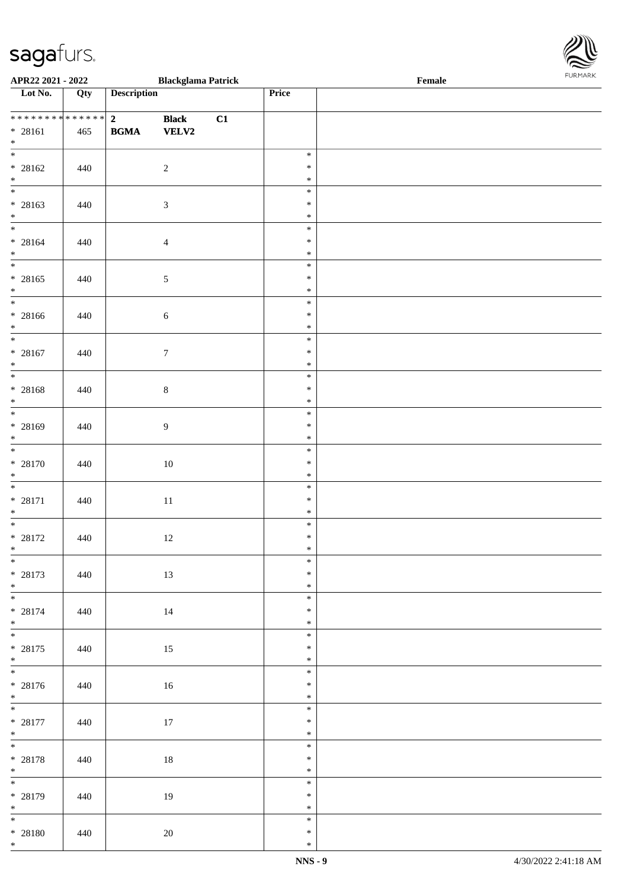\*

| **************<br>$* 28161$<br>$*$           | 465 | $\overline{2}$ Black | <b>BGMA</b> VELV2 | C1 |                            |  |
|----------------------------------------------|-----|----------------------|-------------------|----|----------------------------|--|
| $* 28162$<br>$*$                             | 440 |                      | $\overline{2}$    |    | $\ast$<br>$\ast$<br>$\ast$ |  |
| $* 28163$<br>$*$                             | 440 |                      | $\mathfrak{Z}$    |    | $\ast$<br>$\ast$<br>$\ast$ |  |
| $* 28164$<br>$*$                             | 440 |                      | $\overline{4}$    |    | $\ast$<br>$\ast$<br>$\ast$ |  |
| $* 28165$<br>$*$                             | 440 |                      | $\mathfrak{S}$    |    | $\ast$<br>$\ast$<br>$\ast$ |  |
| $*$ $*$<br>$* 28166$<br>$*$                  | 440 |                      | $\sqrt{6}$        |    | $\ast$<br>$\ast$<br>$\ast$ |  |
| $*$<br>$* 28167$<br>$*$                      | 440 |                      | $7\phantom{.0}$   |    | $\ast$<br>$\ast$<br>$\ast$ |  |
| $* 28168$<br>$*$<br>$\overline{\ast}$        | 440 |                      | $\,8\,$           |    | $\ast$<br>$\ast$<br>$\ast$ |  |
| $* 28169$<br>$*$                             | 440 |                      | 9                 |    | $\ast$<br>$\ast$<br>$\ast$ |  |
| * 28170<br>$*$                               | 440 |                      | 10                |    | $\ast$<br>$\ast$<br>$\ast$ |  |
| $* 28171$<br>$*$                             | 440 |                      | $11\,$            |    | $\ast$<br>$\ast$<br>$\ast$ |  |
| $\overline{\ast}$<br>$* 28172$<br>$*$        | 440 |                      | 12                |    | $\ast$<br>$\ast$<br>$\ast$ |  |
| $*$<br>* 28173<br>$*$ $*$                    | 440 |                      | 13                |    | $\ast$<br>$\ast$<br>$\ast$ |  |
| $* 28174$<br>$*$<br>$\overline{\phantom{0}}$ | 440 |                      | 14                |    | $\ast$<br>$\ast$<br>$\ast$ |  |
| $* 28175$<br>$*$                             | 440 |                      | 15                |    | $\ast$<br>$\ast$<br>$\ast$ |  |
| $* 28176$<br>$*$<br>$\overline{\phantom{0}}$ | 440 |                      | $16\,$            |    | $\ast$<br>$\ast$<br>$\ast$ |  |
| $* 28177$<br>$*$                             | 440 |                      | $17\,$            |    | $\ast$<br>$\ast$<br>$\ast$ |  |
| $* 28178$<br>$*$<br>$\overline{\phantom{0}}$ | 440 |                      | $18\,$            |    | $\ast$<br>$\ast$<br>$\ast$ |  |
| $* 28179$<br>$*$<br>$\frac{1}{1}$            | 440 |                      | 19                |    | $\ast$<br>$\ast$<br>$\ast$ |  |
| $* 28180$                                    | 440 |                      | 20                |    | $\ast$<br>$\ast$           |  |

**APR22 2021 - 2022 Blackglama Patrick Female**

**Lot No. Qty Description Price**

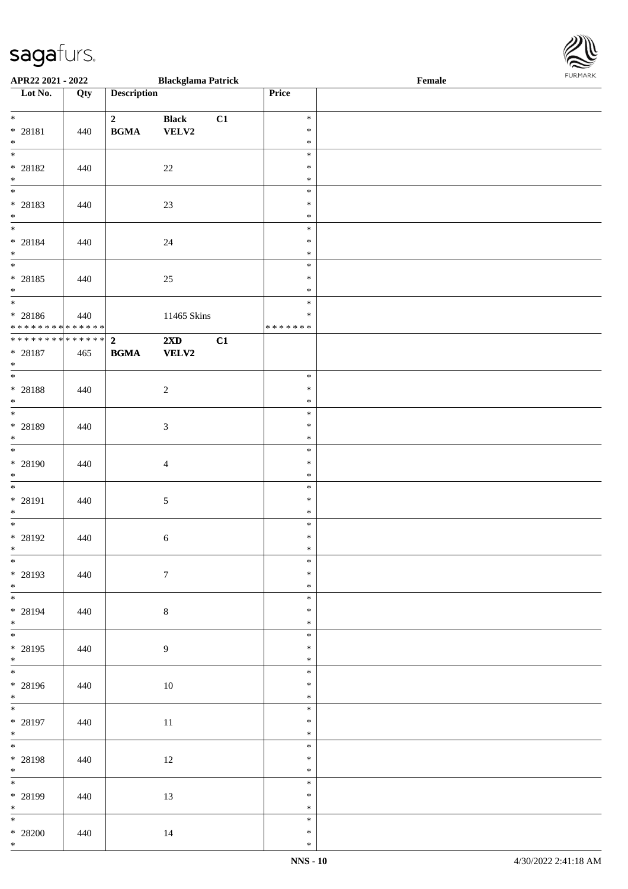\*

| APR22 2021 - 2022                                                                 |     |                                            | <b>Blackglama Patrick</b> |    |                             | Female |  |
|-----------------------------------------------------------------------------------|-----|--------------------------------------------|---------------------------|----|-----------------------------|--------|--|
| Lot No.                                                                           | Qty | <b>Description</b>                         |                           |    | Price                       |        |  |
| $*$                                                                               |     | $\mathbf{2}$                               | <b>Black</b>              | C1 | $\ast$                      |        |  |
| * 28181<br>$*$                                                                    | 440 | $\mathbf{B}\mathbf{G}\mathbf{M}\mathbf{A}$ | ${\bf VELV2}$             |    | $\ast$<br>$\ast$<br>$\ast$  |        |  |
| * 28182<br>$*$                                                                    | 440 |                                            | $22\,$                    |    | $\ast$<br>$\ast$            |        |  |
| * 28183<br>$*$                                                                    | 440 |                                            | 23                        |    | $\ast$<br>$\ast$<br>$\ast$  |        |  |
| * 28184<br>$*$                                                                    | 440 |                                            | 24                        |    | $\ast$<br>$\ast$<br>$\ast$  |        |  |
| * 28185<br>$*$                                                                    | 440 |                                            | 25                        |    | $\ast$<br>$\ast$<br>$\ast$  |        |  |
| $\overline{\phantom{0}}$<br>* 28186<br>* * * * * * * * <mark>* * * * * * *</mark> | 440 |                                            | 11465 Skins               |    | $\ast$<br>$\ast$<br>******* |        |  |
| ************** 2<br>* 28187<br>$\ast$                                             | 465 | $\mathbf{B}\mathbf{G}\mathbf{M}\mathbf{A}$ | 2XD<br>${\bf VELV2}$      | C1 |                             |        |  |
| $\overline{\phantom{0}}$<br>* 28188<br>$\ast$                                     | 440 |                                            | $\sqrt{2}$                |    | $\ast$<br>$\ast$<br>$\ast$  |        |  |
| * 28189<br>$\ast$                                                                 | 440 |                                            | $\mathfrak{Z}$            |    | $\ast$<br>$\ast$<br>$\ast$  |        |  |
| $\overline{\ast}$<br>* 28190<br>$*$                                               | 440 |                                            | $\overline{4}$            |    | $\ast$<br>$\ast$<br>$\ast$  |        |  |
| $\ddot{x}$<br>* 28191<br>$*$                                                      | 440 |                                            | $\sqrt{5}$                |    | $\ast$<br>$\ast$<br>$\ast$  |        |  |
| * 28192<br>$*$                                                                    | 440 |                                            | $\sqrt{6}$                |    | $\ast$<br>$\ast$<br>$\ast$  |        |  |
| $\overline{\ast}$<br>* 28193<br>$*$                                               | 440 |                                            | $7\phantom{.0}$           |    | $\ast$<br>$\ast$<br>$\ast$  |        |  |
| $\overline{\ast}$<br>* 28194<br>$*$                                               | 440 |                                            | $\,8\,$                   |    | $\ast$<br>$\ast$<br>$\ast$  |        |  |
| $\ddot{x}$<br>* 28195<br>$*$                                                      | 440 |                                            | 9                         |    | $\ast$<br>$\ast$<br>$\ast$  |        |  |
| $\overline{\mathbf{r}}$<br>* 28196<br>$*$                                         | 440 |                                            | 10                        |    | $\ast$<br>$\ast$<br>$\ast$  |        |  |
| $*$<br>* 28197<br>$*$                                                             | 440 |                                            | 11                        |    | $\ast$<br>$\ast$<br>$\ast$  |        |  |
| $*$<br>* 28198                                                                    | 440 |                                            | 12                        |    | $\ast$<br>$\ast$<br>$\ast$  |        |  |
| $*$<br>* 28199<br>$*$                                                             | 440 |                                            | 13                        |    | $\ast$<br>$\ast$<br>$\ast$  |        |  |
| $\overline{\mathbf{r}}$<br>$* 28200$<br>$\ast$                                    | 440 |                                            | 14                        |    | $\ast$<br>$\ast$<br>$\ast$  |        |  |